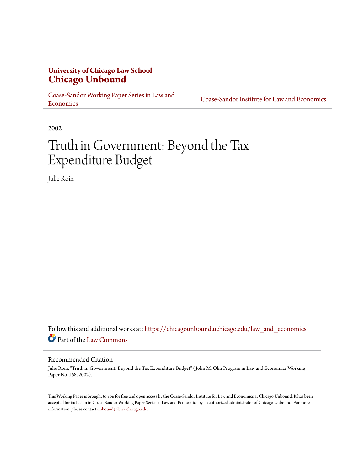# **University of Chicago Law School [Chicago Unbound](https://chicagounbound.uchicago.edu?utm_source=chicagounbound.uchicago.edu%2Flaw_and_economics%2F598&utm_medium=PDF&utm_campaign=PDFCoverPages)**

[Coase-Sandor Working Paper Series in Law and](https://chicagounbound.uchicago.edu/law_and_economics?utm_source=chicagounbound.uchicago.edu%2Flaw_and_economics%2F598&utm_medium=PDF&utm_campaign=PDFCoverPages) [Economics](https://chicagounbound.uchicago.edu/law_and_economics?utm_source=chicagounbound.uchicago.edu%2Flaw_and_economics%2F598&utm_medium=PDF&utm_campaign=PDFCoverPages)

[Coase-Sandor Institute for Law and Economics](https://chicagounbound.uchicago.edu/coase_sandor_institute?utm_source=chicagounbound.uchicago.edu%2Flaw_and_economics%2F598&utm_medium=PDF&utm_campaign=PDFCoverPages)

2002

# Truth in Government: Beyond the Tax Expenditure Budget

Julie Roin

Follow this and additional works at: [https://chicagounbound.uchicago.edu/law\\_and\\_economics](https://chicagounbound.uchicago.edu/law_and_economics?utm_source=chicagounbound.uchicago.edu%2Flaw_and_economics%2F598&utm_medium=PDF&utm_campaign=PDFCoverPages) Part of the [Law Commons](http://network.bepress.com/hgg/discipline/578?utm_source=chicagounbound.uchicago.edu%2Flaw_and_economics%2F598&utm_medium=PDF&utm_campaign=PDFCoverPages)

#### Recommended Citation

Julie Roin, "Truth in Government: Beyond the Tax Expenditure Budget" ( John M. Olin Program in Law and Economics Working Paper No. 168, 2002).

This Working Paper is brought to you for free and open access by the Coase-Sandor Institute for Law and Economics at Chicago Unbound. It has been accepted for inclusion in Coase-Sandor Working Paper Series in Law and Economics by an authorized administrator of Chicago Unbound. For more information, please contact [unbound@law.uchicago.edu.](mailto:unbound@law.uchicago.edu)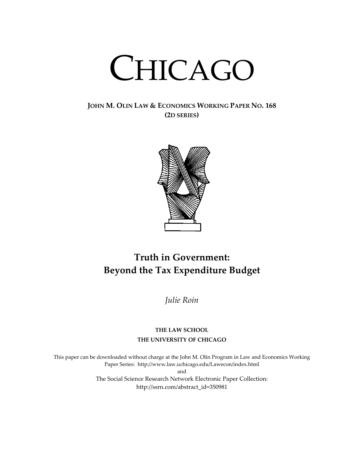# CHICAGO

# **JOHN M. OLIN LAW & ECONOMICS WORKING PAPER NO. 168 (2D SERIES)**



# **Truth in Government: Beyond the Tax Expenditure Budget**

*Julie Roin*

# **THE LAW SCHOOL THE UNIVERSITY OF CHICAGO**

This paper can be downloaded without charge at the John M. Olin Program in Law and Economics Working Paper Series: http://www.law.uchicago.edu/Lawecon/index.html and The Social Science Research Network Electronic Paper Collection: [http://ssrn.com/abstract\\_id=3](http://papers.ssrn.com/sol3/search.taf)50981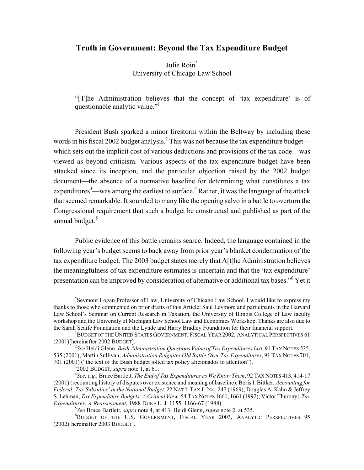# **Truth in Government: Beyond the Tax Expenditure Budget**

Julie Roin<sup>[\\*](#page-2-0)</sup> University of Chicago Law School

"[T]he Administration believes that the concept of 'tax expenditure' is of questionable analytic value."<sup>1</sup>

President Bush sparked a minor firestorm within the Beltway by including these words in his fiscal 2002 budget analysis.<sup>2</sup> [T](#page-2-2)his was not because the tax expenditure budget which sets out the implicit cost of various deductions and provisions of the tax code—was viewed as beyond criticism. Various aspects of the tax expenditure budget have been attacked since its inception, and the particular objection raised by the 2002 budget document—the absence of a normative baseline for determining what constitutes a tax expenditures<sup>[3](#page-2-3)</sup>—was among the earliest to surface.<sup>4</sup> Rather, it was the language of the attack that seemed remarkable. It sounded to many like the opening salvo in a battle to overturn the Congressional requirement that such a budget be constructed and published as part of the annual budget.<sup>[5](#page-2-5)</sup>

Public evidence of this battle remains scarce. Indeed, the language contained in the following year's budget seems to back away from prior year's blanket condemnation of the tax expenditure budget. The 2003 budget states merely that A[t]he Administration believes the meaningfulness of tax expenditure estimates is uncertain and that the 'tax expenditure' presentation can be improved by consideration of alternative or additional tax bases."<sup>6</sup> [Y](#page-2-6)et it

<span id="page-2-0"></span> <sup>\*</sup> Seymour Logan Professor of Law, University of Chicago Law School. I would like to express my thanks to those who commented on prior drafts of this Article: Saul Levmore and participants in the Harvard Law School's Seminar on Current Research in Taxation, the University of Illinois College of Law faculty workshop and the University of Michigan Law School Law and Economics Workshop. Thanks are also due to the Sarah Scaife Foundation and the Lynde and Harry Bradley Foundation for their financial support. 1

<span id="page-2-1"></span> $^1$ Budget of the United States Government, Fiscal Year 2002, Analytical Perspectives 61 (2001)[hereinafter 2002 BUDGET]. 2

*See* Heidi Glenn, *Bush Administration Questions Value of Tax Expenditures List*, 91 TAX NOTES 535, 535 (2001); Martin Sullivan, *Administration Reignites Old Battle Over Tax Expenditures*, 91 TAX NOTES 701,

<sup>701 (2001) (&</sup>quot;the text of the Bush budget jolted tax policy aficionados to attention"). 3

<span id="page-2-4"></span><span id="page-2-3"></span><span id="page-2-2"></span> $32002$  BUDGET, *supra* note 1, at 61.

*See, e.g.,* Bruce Bartlett, *The End of Tax Expenditures as We Know Them*, 92 TAX NOTES 413, 414-17 (2001) (recounting history of disputes over existence and meaning of baseline); Boris I. Bittker, *Accounting for Federal 'Tax Subsidies' in the National Budget*, 22 NAT'L TAX J. 244, 247 (1969); Douglas A. Kahn & Jeffrey S. Lehman, *Tax Expenditure Budgets: A Critical View*, 54 TAX NOTES 1661, 1661 (1992); Victor Thuronyi, *Tax Expenditures: A Reassessment*, 1988 DUKE L. J. 1155, 1166-67 (1988). 5

<span id="page-2-6"></span><span id="page-2-5"></span>*See* Bruce Bartlett, *supra* note 4, at 413; Heidi Glenn, *supra* note 2, at 535. 6

<sup>&</sup>lt;sup>6</sup>BUDGET OF THE U.S. GOVERNMENT, FISCAL YEAR 2003, ANALYTIC PERSPECTIVES 95 (2002)[hereinafter 2003 BUDGET].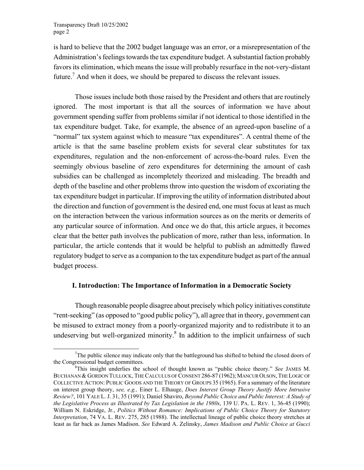<span id="page-3-1"></span>is hard to believe that the 2002 budget language was an error, or a misrepresentation of the Administration's feelings towards the tax expenditure budget. A substantial faction probably favors its elimination, which means the issue will probably resurface in the not-very-distant future.<sup>[7](#page-3-0)</sup> And when it does, we should be prepared to discuss the relevant issues.

Those issues include both those raised by the President and others that are routinely ignored. The most important is that all the sources of information we have about government spending suffer from problems similar if not identical to those identified in the tax expenditure budget. Take, for example, the absence of an agreed-upon baseline of a "normal" tax system against which to measure "tax expenditures". A central theme of the article is that the same baseline problem exists for several clear substitutes for tax expenditures, regulation and the non-enforcement of across-the-board rules. Even the seemingly obvious baseline of zero expenditures for determining the amount of cash subsidies can be challenged as incompletely theorized and misleading. The breadth and depth of the baseline and other problems throw into question the wisdom of excoriating the tax expenditure budget in particular. If improving the utility of information distributed about the direction and function of government is the desired end, one must focus at least as much on the interaction between the various information sources as on the merits or demerits of any particular source of information. And once we do that, this article argues, it becomes clear that the better path involves the publication of more, rather than less, information. In particular, the article contends that it would be helpful to publish an admittedly flawed regulatory budget to serve as a companion to the tax expenditure budget as part of the annual budget process.

#### **I. Introduction: The Importance of Information in a Democratic Society**

Though reasonable people disagree about precisely which policy initiatives constitute "rent-seeking" (as opposed to "good public policy"), all agree that in theory, government can be misused to extract money from a poorly-organized majority and to redistribute it to an undeserving but well-organized minority. ${}^{8}$  ${}^{8}$  ${}^{8}$  In addition to the implicit unfairness of such

<span id="page-3-0"></span> <sup>7</sup>  $T$ The public silence may indicate only that the battleground has shifted to behind the closed doors of the Congressional budget committees.

This insight underlies the school of thought known as "public choice theory." *See* JAMES M. BUCHANAN & GORDON TULLOCK, THE CALCULUS OF CONSENT 286-87 (1962); MANCUR OLSON, THE LOGIC OF COLLECTIVE ACTION: PUBLIC GOODS AND THE THEORY OF GROUPS 35 (1965). For a summary of the literature on interest group theory, *see, e.g.,* Einer L. Elhauge, *Does Interest Group Theory Justify More Intrusive Review?*, 101 YALE L. J. 31, 35 (1991); Daniel Shaviro, *Beyond Public Choice and Public Interest: A Study of the Legislative Process as Illustrated by Tax Legislation in the 1980s*, 139 U. PA. L. REV. 1, 36-45 (1990); William N. Eskridge, Jr., *Politics Without Romance: Implications of Public Choice Theory for Statutory Interpretation*, 74 VA. L. REV. 275, 285 (1988). The intellectual lineage of public choice theory stretches at least as far back as James Madison. *See* Edward A. Zelinsky, *James Madison and Public Choice at Gucci*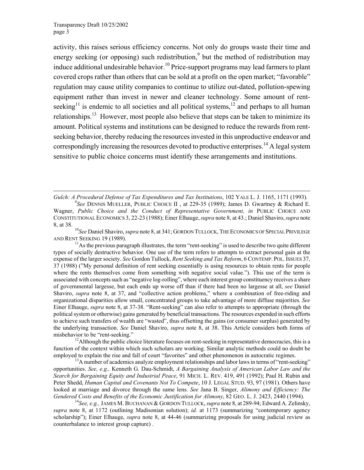$\overline{\phantom{a}}$ 

activity, this raises serious efficiency concerns. Not only do groups waste their time and energy seeking (or opposing) such redistribution,<sup>[9](#page-4-0)</sup> but the method of redistribution may induce additional undesirable behavior.<sup>10</sup> Price-support programs may lead farmers to plant covered crops rather than others that can be sold at a profit on the open market; "favorable" regulation may cause utility companies to continue to utilize out-dated, pollution-spewing equipment rather than invest in newer and cleaner technology. Some amount of rentseeking<sup>11</sup> is endemic to all societies and all political systems,<sup>12</sup> and perhaps to all human relationships.<sup>13</sup> However, most people also believe that steps can be taken to minimize its amount. Political systems and institutions can be designed to reduce the rewards from rentseeking behavior, thereby reducing the resources invested in this unproductive endeavor and correspondingly increasing the resources devoted to productive enterprises.<sup>14</sup> [A](#page-4-5) legal system sensitive to public choice concerns must identify these arrangements and institutions.

*Gulch: A Procedural Defense of Tax Expenditures and Tax Institutions*, 102 YALE L. J. 1165, 1171 (1993). 9

<span id="page-4-1"></span>AND RENT SEEKING 19 (1989).<br><sup>11</sup>As the previous paragraph illustrates, the term "rent-seeking" is used to describe two quite different

<span id="page-4-2"></span>types of socially destructive behavior. One use of the term refers to attempts to extract personal gain at the expense of the larger society. *See* Gordon Tullock, *Rent Seeking and Tax Reform*, 6 CONTEMP. POL. ISSUES 37, 37 (1988) ("My personal definition of rent seeking essentially is using resources to obtain rents for people where the rents themselves come from something with negative social value."). This use of the term is associated with concepts such as "negative log-rolling", where each interest group constituency receives a share of governmental largesse, but each ends up worse off than if there had been no largesse at all, *see* Daniel Shaviro, *supra* note 8, at 37, and "collective action problems," where a combination of free-riding and organizational disparities allow small, concentrated groups to take advantage of more diffuse majorities. *See* Einer Elhauge, *supra* note 8, at 37-38. "Rent-seeking" can also refer to attempts to appropriate (through the political system or otherwise) gains generated by beneficial transactions. The resources expended in such efforts to achieve such transfers of wealth are "wasted", thus offsetting the gains (or consumer surplus) generated by the underlying transaction. *See* Daniel Shaviro, *supra* note 8, at 38. This Article considers both forms of misbehavior to be "rent-seeking."<br><sup>12</sup>Although the public choice literature focuses on rent-seeking in representative democracies, this is a

<span id="page-4-3"></span>function of the context within which such scholars are working. Similar analytic methods could no doubt be employed to explain the rise and fall of court "favorites" and other phenomenon in autocratic regimes.<br><sup>13</sup>A number of academics analyze employment relationships and labor laws in terms of "rent-seeking"

<span id="page-4-4"></span>opportunities. *See, e.g.,* Kenneth G. Dau-Schmidt, *A Bargaining Analysis of American Labor Law and the Search for Bargaining Equity and Industrial Peace*, 91 MICH. L. REV. 419, 491 (1992); Paul H. Rubin and Peter Shedd, *Human Capital and Covenants Not To Compete*, 10 J. LEGAL STUD. 93, 97 (1981). Others have looked at marriage and divorce through the same lens. *See* Jana B. Singer, *Alimony and Efficiency: The Gendered Costs and Benefits of the Economic Justification for Alimony*, 82 GEO. L. J. 2423, 2440 (1994). <sup>14</sup>*See, e.g., JAMES M. BUCHANAN & GORDON TULLOCK, <i>supra* note 8, at 289-94; Edward A. Zelinsky,

<span id="page-4-5"></span>*supra* note 8, at 1172 (outlining Madisonian solution); *id.* at 1173 (summarizing "contemporary agency scholarship"); Einer Elhauge, *supra* note 8, at 44-46 (summarizing proposals for using judicial review as counterbalance to interest group capture) .

<span id="page-4-0"></span>*See* DENNIS MUELLER, PUBLIC CHOICE II , at 229-35 (1989); James D. Gwartney & Richard E. Wagner, *Public Choice and the Conduct of Representative Government, in* PUBLIC CHOICE AND CONSTITUTIONAL ECONOMICS 3, 22-23 (1988); Einer Elhauge, *supra* note 8, at 43.; Daniel Shaviro, *supra* note 8, at 38. 10*See* Daniel Shaviro, *supra* note 8, at 341; GORDON TULLOCK, THE ECONOMICS OF SPECIAL PRIVILEGE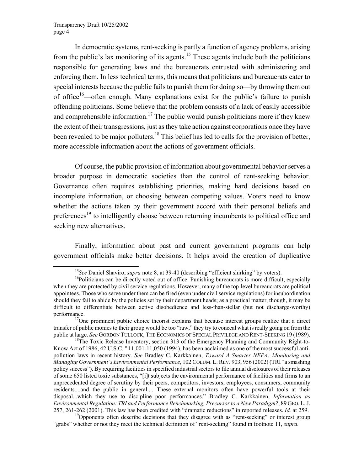In democratic systems, rent-seeking is partly a function of agency problems, arising from the public's lax monitoring of its agents.<sup>15</sup> These agents include both the politicians responsible for generating laws and the bureaucrats entrusted with administering and enforcing them. In less technical terms, this means that politicians and bureaucrats cater to special interests because the public fails to punish them for doing so—by throwing them out of office<sup>16</sup>—often enough. Many explanations exist for the public's failure to punish offending politicians. Some believe that the problem consists of a lack of easily accessible and comprehensible information.<sup>17</sup> The public would punish politicians more if they knew the extent of their transgressions, just as they take action against corporations once they have been revealed to be major polluters.<sup>18</sup> This belief has led to calls for the provision of better, more accessible information about the actions of government officials.

Of course, the public provision of information about governmental behavior serves a broader purpose in democratic societies than the control of rent-seeking behavior. Governance often requires establishing priorities, making hard decisions based on incomplete information, or choosing between competing values. Voters need to know whether the actions taken by their government accord with their personal beliefs and preferences<sup>19</sup> to intelligently choose between returning incumbents to political office and seeking new alternatives.

Finally, information about past and current government programs can help government officials make better decisions. It helps avoid the creation of duplicative

<span id="page-5-1"></span><span id="page-5-0"></span><sup>&</sup>lt;sup>15</sup>*See* Daniel Shaviro, *supra* note 8, at 39-40 (describing "efficient shirking" by voters). <sup>16</sup>Politicians can be directly voted out of office. Punishing bureaucrats is more difficult, especially

when they are protected by civil service regulations. However, many of the top-level bureaucrats are political appointees. Those who serve under them can be fired (even under civil service regulations) for insubordination should they fail to abide by the policies set by their department heads; as a practical matter, though, it may be difficult to differentiate between active disobedience and less-than-stellar (but not discharge-worthy) performance.<br><sup>17</sup>One prominent public choice theorist explains that because interest groups realize that a direct

<span id="page-5-2"></span>transfer of public monies to their group would be too "raw," they try to conceal what is really going on from the public at large. *See* GORDON TULLOCK, THE ECONOMICS OF SPECIAL PRIVILEGE AND RENT-SEEKING 19 (1989). <sup>18</sup>The Toxic Release Inventory, section 313 of the Emergency Planning and Community Right-to-

<span id="page-5-3"></span>Know Act of 1986, 42 U.S.C. '' 11,001-11,050 (1994), has been acclaimed as one of the most successful antipollution laws in recent history. *See* Bradley C. Karkkainen, *Toward A Smarter NEPA: Monitoring and Managing Government's Environmental Performance*, 102 COLUM. L. REV. 903, 956 (2002) (TRI "a smashing policy success"). By requiring facilities in specified industrial sectors to file annual disclosures of their releases of some 650 listed toxic substances, "[i]t subjects the environmental performance of facilities and firms to an unprecedented degree of scrutiny by their peers, competitors, investors, employees, consumers, community residents....and the public in general.... These external monitors often have powerful tools at their disposal...which they use to discipline poor performances." Bradley C. Karkkainen, *Information as Environmental Regulation: TRI and Performance Benchmarking, Precursor to a New Paradigm?*, 89 GEO. L. J.

<span id="page-5-4"></span><sup>&</sup>lt;sup>19</sup>Opponents often describe decisions that they disagree with as "rent-seeking" or interest group "grabs" whether or not they meet the technical definition of "rent-seeking" found in footnote 11, *supra.*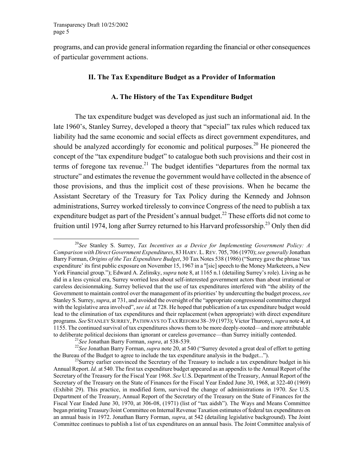<span id="page-6-3"></span>programs, and can provide general information regarding the financial or other consequences of particular government actions.

#### **II. The Tax Expenditure Budget as a Provider of Information**

#### **A. The History of the Tax Expenditure Budget**

The tax expenditure budget was developed as just such an informational aid. In the late 1960's, Stanley Surrey, developed a theory that "special" tax rules which reduced tax liability had the same economic and social effects as direct government expenditures, and should be analyzed accordingly for economic and political purposes.<sup>20</sup> He pioneered the concept of the "tax expenditure budget" to catalogue both such provisions and their cost in terms of foregone tax revenue.<sup>21</sup> The budget identifies "departures from the normal tax structure" and estimates the revenue the government would have collected in the absence of those provisions, and thus the implicit cost of these provisions. When he became the Assistant Secretary of the Treasury for Tax Policy during the Kennedy and Johnson administrations, Surrey worked tirelessly to convince Congress of the need to publish a tax expenditure budget as part of the President's annual budget.<sup>22</sup> These efforts did not come to fruition until 1974, long after Surrey returned to his Harvard professorship.<sup>23</sup> Only then did

<span id="page-6-0"></span> <sup>20</sup>*See* Stanley S. Surrey, *Tax Incentives as a Device for Implementing Government Policy: A Comparison with Direct Government Expenditures*, 83 HARV. L. REV. 705, 706 (1970); *see generally* Jonathan Barry Forman, *Origins of the Tax Expenditure Budget*, 30 Tax Notes 538 (1986) ("Surrey gave the phrase 'tax expenditure' its first public exposure on November 15, 1967 in a "[sic] speech to the Money Marketeers, a New York Financial group."); Edward A. Zelinsky, *supra* note 8, at 1165 n.1 (detailing Surrey's role). Living as he did in a less cynical era, Surrey worried less about self-interested government actors than about irrational or careless decisionmaking. Surrey believed that the use of tax expenditures interfered with "the ability of the Government to maintain control over the management of its priorities' by undercutting the budget process, *see* Stanley S. Surrey, *supra*, at 731, and avoided the oversight of the "appropriate congressional committee charged with the legislative area involved", *see id.* at 728. He hoped that publication of a tax expenditure budget would lead to the elimination of tax expenditures and their replacement (when appropriate) with direct expenditure programs. *See* STANLEY SURREY, PATHWAYS TO TAX REFORM 38–39 (1973); Victor Thuronyi, *supra* note 4, at 1155. The continued survival of tax expenditures shows them to be more deeply-rooted—and more attributable

<span id="page-6-2"></span><span id="page-6-1"></span>

to deliberate political decisions than ignorant or careless governance—than Surrey initially contended.<br><sup>21</sup>See Jonathan Barry Forman, *supra*, at 538-539.<br><sup>22</sup>See Jonathan Barry Forman, *supra* note 20, at 540 ("Surrey d

 $t^{23}$ Surrey earlier convinced the Secretary of the Treasury to include a tax expenditure budget in his Annual Report. *Id.* at 540. The first tax expenditure budget appeared as an appendix to the Annual Report of the Secretary of the Treasury for the Fiscal Year 1968. *See* U.S. Department of the Treasury, Annual Report of the Secretary of the Treasury on the State of Finances for the Fiscal Year Ended June 30, 1968, at 322-40 (1969) (Exhibit 29). This practice, in modified form, survived the change of administrations in 1970. *See* U.S. Department of the Treasury, Annual Report of the Secretary of the Treasury on the State of Finances for the Fiscal Year Ended June 30, 1970, at 306-08, (1971) (list of "tax aidsh"). The Ways and Means Committee began printing Treasury/Joint Committee on Internal Revenue Taxation estimates of federal tax expenditures on an annual basis in 1972. Jonathan Barry Forman, *supra*, at 542 (detailing legislative background). The Joint Committee continues to publish a list of tax expenditures on an annual basis. The Joint Committee analysis of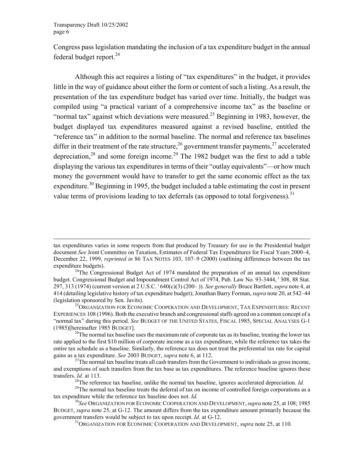$\overline{\phantom{a}}$ 

Congress pass legislation mandating the inclusion of a tax expenditure budget in the annual federal budget report.<sup>24</sup>

Although this act requires a listing of "tax expenditures" in the budget, it provides little in the way of guidance about either the form or content of such a listing. As a result, the presentation of the tax expenditure budget has varied over time. Initially, the budget was compiled using "a practical variant of a comprehensive income tax" as the baseline or "normal tax" against which deviations were measured.<sup>25</sup> Beginning in 1983, however, the budget displayed tax expenditures measured against a revised baseline, entitled the "reference tax" in addition to the normal baseline. The normal and reference tax baselines differ in their treatment of the rate structure,<sup>26</sup> government transfer payments,<sup>27</sup> accelerated depreciation, $28$  and some foreign income. $29$  The 1982 budget was the first to add a table displaying the various tax expenditures in terms of their "outlay equivalents"—or how much money the government would have to transfer to get the same economic effect as the tax expenditure.<sup>30</sup> Beginning in 1995, the budget included a table estimating the cost in present value terms of provisions leading to tax deferrals (as opposed to total forgiveness).<sup>31</sup>

tax expenditures varies in some respects from that produced by Treasury for use in the Presidential budget document *See* Joint Committee on Taxation, Estimates of Federal Tax Expenditures for Fiscal Years 2000–4, December 22, 1999, *reprinted in* 86 TAX NOTES 103, 107–9 (2000) (outlining differences between the tax expenditure budgets).<br><sup>24</sup>The Congressional Budget Act of 1974 mandated the preparation of an annual tax expenditure

<span id="page-7-0"></span>budget. Congressional Budget and Impoundment Control Act of 1974, Pub. Law No. 93-3444, ' 308, 88 Stat. 297, 313 (1974) (current version at 2 U.S.C. ' 640(c)(3) (200– )). *See generally* Bruce Bartlett, *supra* note 4, at 414 (detailing legislative history of tax expenditure budget); Jonathan Barry Forman, *supra* note 20, at 542–44

<span id="page-7-1"></span><sup>&</sup>lt;sup>25</sup>ORGANIZATION FOR ECONOMIC COOPERATION AND DEVELOPMENT, TAX EXPENDITURES: RECENT EXPERIENCES 108 (1996). Both the executive branch and congressional staffs agreed on a common concept of a "normal tax" during this period. *See* BUDGET OF THE UNITED STATES, FISCAL 1985, SPECIAL ANALYSES G-1 (1985)[hereinafter 1985 BUDGET].<br><sup>26</sup>The normal tax baseline uses the maximum rate of corporate tax as its baseline, treating the lower tax

<span id="page-7-2"></span>rate applied to the first \$10 million of corporate income as a tax expenditure, while the reference tax takes the entire tax schedule as a baseline. Similarly, the reference tax does not treat the preferential tax rate for capital gains as a tax expenditure. *See* 2003 BUDGET, *supra* note 6, at 112.<br><sup>27</sup>The normal tax baseline treats all cash transfers from the Government to individuals as gross income,

and exemptions of such transfers from the tax base as tax expenditures. The reference baseline ignores these transfers. *Id.* at 113.<br><sup>28</sup>The reference tax baseline, unlike the normal tax baseline, ignores accelerated depreciation. *Id.*<br><sup>29</sup>The normal tax baseline treats the deferral of tax on income of controlled foreign corpo

<span id="page-7-6"></span><span id="page-7-5"></span><span id="page-7-4"></span><span id="page-7-3"></span>

tax expenditure while the reference tax baseline does not. *Id.* <sup>30</sup>*See* ORGANIZATION FOR ECONOMIC COOPERATION AND DEVELOPMENT, *supra* note 25, at 108; 1985

BUDGET, *supra* note 25, at G-12. The amount differs from the tax expenditure amount primarily because the government transfers would be subject to tax upon receipt. *Id.* at G-12.<br><sup>31</sup>ORGANIZATION FOR ECONOMIC COOPERATION AND DEVELOPMENT, *supra* note 25, at 110.

<span id="page-7-7"></span>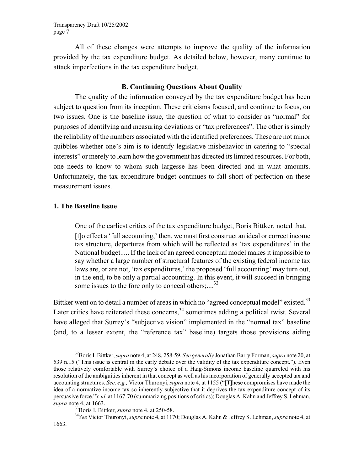All of these changes were attempts to improve the quality of the information provided by the tax expenditure budget. As detailed below, however, many continue to attack imperfections in the tax expenditure budget.

#### **B. Continuing Questions About Quality**

The quality of the information conveyed by the tax expenditure budget has been subject to question from its inception. These criticisms focused, and continue to focus, on two issues. One is the baseline issue, the question of what to consider as "normal" for purposes of identifying and measuring deviations or "tax preferences". The other is simply the reliability of the numbers associated with the identified preferences. These are not minor quibbles whether one's aim is to identify legislative misbehavior in catering to "special interests" or merely to learn how the government has directed its limited resources. For both, one needs to know to whom such largesse has been directed and in what amounts. Unfortunately, the tax expenditure budget continues to fall short of perfection on these measurement issues.

#### **1. The Baseline Issue**

One of the earliest critics of the tax expenditure budget, Boris Bittker, noted that, [t]o effect a 'full accounting,' then, we must first construct an ideal or correct income tax structure, departures from which will be reflected as 'tax expenditures' in the National budget..... If the lack of an agreed conceptual model makes it impossible to say whether a large number of structural features of the existing federal income tax laws are, or are not, 'tax expenditures,' the proposed 'full accounting' may turn out, in the end, to be only a partial accounting. In this event, it will succeed in bringing some issues to the fore only to conceal others;....<sup>[32](#page-8-0)</sup>

Bittker went on to detail a number of areas in which no "agreed conceptual model" existed.<sup>[3](#page-8-1)3</sup> Later critics have reiterated these concerns,  $34$  sometimes adding a political twist. Several have alleged that Surrey's "subjective vision" implemented in the "normal tax" baseline (and, to a lesser extent, the "reference tax" baseline) targets those provisions aiding

<span id="page-8-0"></span> <sup>32</sup>Boris I. Bittker, *supra* note 4, at 248, 258-59. *See generally* Jonathan Barry Forman, *supra* note 20, at 539 n.15 ("This issue is central in the early debate over the validity of the tax expenditure concept."). Even those relatively comfortable with Surrey's choice of a Haig-Simons income baseline quarreled with his resolution of the ambiguities inherent in that concept as well as his incorporation of generally accepted tax and accounting structures. *See, e.g.,* Victor Thuronyi, *supra* note 4, at 1155 ("[T]hese compromises have made the idea of a normative income tax so inherently subjective that it deprives the tax expenditure concept of its persuasive force."); *id*. at 1167-70 (summarizing positions of critics); Douglas A. Kahn and Jeffrey S. Lehman, *supra* note 4, at 1663. 33Boris I. Bittker, *supra* note 4, at 250-58. 34*See* Victor Thuronyi, *supra* note 4, at 1170; Douglas A. Kahn & Jeffrey S. Lehman, *supra* note 4, at

<span id="page-8-2"></span><span id="page-8-1"></span>

<sup>1663.</sup>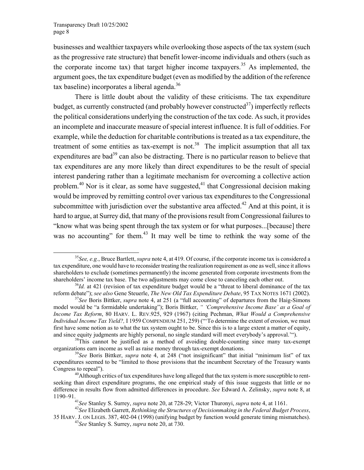businesses and wealthier taxpayers while overlooking those aspects of the tax system (such as the progressive rate structure) that benefit lower-income individuals and others (such as the corporate income tax) that target higher income taxpayers.<sup>35</sup> As implemented, the argument goes, the tax expenditure budget (even as modified by the addition of the reference tax baseline) incorporates a liberal agenda. $36$ 

There is little doubt about the validity of these criticisms. The tax expenditure budget, as currently constructed (and probably however constructed<sup>37</sup>) imperfectly reflects the political considerations underlying the construction of the tax code. As such, it provides an incomplete and inaccurate measure of special interest influence. It is full of oddities. For example, while the deduction for charitable contributions is treated as a tax expenditure, the treatment of some entities as tax-exempt is not.<sup>38</sup> The implicit assumption that all tax expenditures are bad<sup>39</sup> can also be distracting. There is no particular reason to believe that tax expenditures are any more likely than direct expenditures to be the result of special interest pandering rather than a legitimate mechanism for overcoming a collective action problem.<sup>40</sup> Nor is it clear, as some have suggested,<sup>41</sup> that Congressional decision making would be improved by remitting control over various tax expenditures to the Congressional subcommittee with jurisdiction over the substantive area affected.<sup>42</sup> And at this point, it is hard to argue, at Surrey did, that many of the provisions result from Congressional failures to "know what was being spent through the tax system or for what purposes...[because] there was no accounting" for them.<sup>43</sup> It may well be time to rethink the way some of the

<span id="page-9-0"></span> <sup>35</sup>*See, e.g.*, Bruce Bartlett, *supra* note 4, at 419. Of course, if the corporate income tax is considered a tax expenditure, one would have to reconsider treating the realization requirement as one as well, since it allows shareholders to exclude (sometimes permanently) the income generated from corporate investments from the shareholders' income tax base. The two adjustments may come close to canceling each other out.<br><sup>36</sup>*Id.* at 421 (revision of tax expenditure budget would be a "threat to liberal dominance of the tax

<span id="page-9-1"></span>reform debate"); see also Gene Steuerle, The New Old Tax Expenditure Debate, 95 TAX NOTES 1671 (2002).<br><sup>37</sup>See Boris Bittker, *supra* note 4, at 251 (a "full accounting" of departures from the Haig-Simons

<span id="page-9-2"></span>model would be "a formidable undertaking"); Boris Bittker, *" 'Comprehensive Income Base' as a Goal of Income Tax Reform*, 80 HARV. L. REV.925, 929 (1967) (citing Pechman, *What Would a Comprehensive Individual Income Tax Yield?,* I 1959 COMPENDIUM 251, 259) ("'To determine the extent of erosion, we must first have some notion as to what the tax system ought to be. Since this is to a large extent a matter of equity, and since equity judgments are highly personal, no single standard will meet everybody's approval."<sup>(2)</sup>.<br><sup>38</sup>This cannot be justified as a method of avoiding double-counting since many tax-exempt

<span id="page-9-3"></span>organizations earn income as well as raise money through tax-exempt donations. 39*See* Boris Bittker, *supra* note 4, at 248 ("not insignificant" that initial "minimum list" of tax

<span id="page-9-4"></span>expenditures seemed to be "limited to those provisions that the incumbent Secretary of the Treasury wants Congress to repeal").<br><sup>40</sup>Although critics of tax expenditures have long alleged that the tax system is more susceptible to rent-

<span id="page-9-5"></span>seeking than direct expenditure programs, the one empirical study of this issue suggests that little or no difference in results flow from admitted differences in procedure. *See* Edward A. Zelinsky, *supra* note 8, at

<span id="page-9-8"></span><span id="page-9-7"></span><span id="page-9-6"></span>

<sup>&</sup>lt;sup>41</sup>See Stanley S. Surrey, *supra* note 20, at 728-29; Victor Thuronyi, *supra* note 4, at 1161.<br><sup>42</sup>See Elizabeth Garrett, *Rethinking the Structures of Decisionmaking in the Federal Budget Process*,

<sup>35</sup> HARV. J. ON LEGIS. 387, 402-04 (1998) (unifying budget by function would generate timing mismatches). 43*See* Stanley S. Surrey, *supra* note 20, at 730.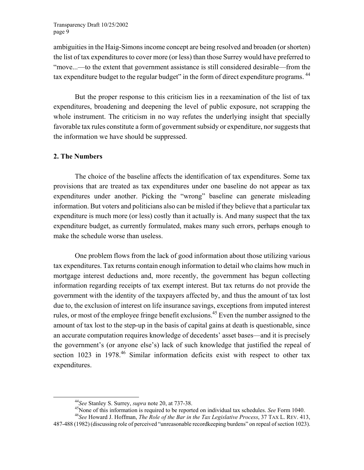ambiguities in the Haig-Simons income concept are being resolved and broaden (or shorten) the list of tax expenditures to cover more (or less) than those Surrey would have preferred to "move...—to the extent that government assistance is still considered desirable—from the tax expenditure budget to the regular budget" in the form of direct expenditure programs. <sup>44</sup>

But the proper response to this criticism lies in a reexamination of the list of tax expenditures, broadening and deepening the level of public exposure, not scrapping the whole instrument. The criticism in no way refutes the underlying insight that specially favorable tax rules constitute a form of government subsidy or expenditure, nor suggests that the information we have should be suppressed.

#### **2. The Numbers**

The choice of the baseline affects the identification of tax expenditures. Some tax provisions that are treated as tax expenditures under one baseline do not appear as tax expenditures under another. Picking the "wrong" baseline can generate misleading information. But voters and politicians also can be misled if they believe that a particular tax expenditure is much more (or less) costly than it actually is. And many suspect that the tax expenditure budget, as currently formulated, makes many such errors, perhaps enough to make the schedule worse than useless.

One problem flows from the lack of good information about those utilizing various tax expenditures. Tax returns contain enough information to detail who claims how much in mortgage interest deductions and, more recently, the government has begun collecting information regarding receipts of tax exempt interest. But tax returns do not provide the government with the identity of the taxpayers affected by, and thus the amount of tax lost due to, the exclusion of interest on life insurance savings, exceptions from imputed interest rules, or most of the employee fringe benefit exclusions.<sup>45</sup> Even the number assigned to the amount of tax lost to the step-up in the basis of capital gains at death is questionable, since an accurate computation requires knowledge of decedents' asset bases—and it is precisely the government's (or anyone else's) lack of such knowledge that justified the repeal of section 1023 in 1978.<sup>46</sup> Similar information deficits exist with respect to other tax expenditures.

<span id="page-10-2"></span><span id="page-10-1"></span>

<span id="page-10-0"></span><sup>&</sup>lt;sup>44</sup>See Stanley S. Surrey, *supra* note 20, at 737-38.<br><sup>45</sup>None of this information is required to be reported on individual tax schedules. *See* Form 1040.<br><sup>46</sup>See Howard J. Hoffman, *The Role of the Bar in the Tax Legis* 

<sup>487-488 (1982) (</sup>discussing role of perceived "unreasonable recordkeeping burdens" on repeal of section 1023).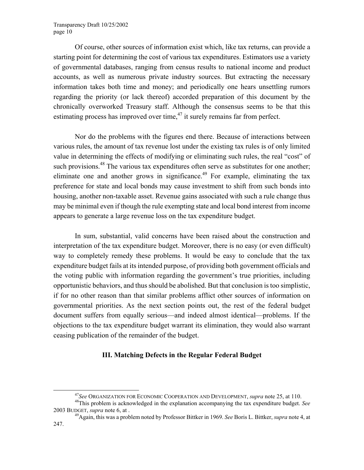Of course, other sources of information exist which, like tax returns, can provide a starting point for determining the cost of various tax expenditures. Estimators use a variety of governmental databases, ranging from census results to national income and product accounts, as well as numerous private industry sources. But extracting the necessary information takes both time and money; and periodically one hears unsettling rumors regarding the priority (or lack thereof) accorded preparation of this document by the chronically overworked Treasury staff. Although the consensus seems to be that this estimating process has improved over time, $47$  it surely remains far from perfect.

Nor do the problems with the figures end there. Because of interactions between various rules, the amount of tax revenue lost under the existing tax rules is of only limited value in determining the effects of modifying or eliminating such rules, the real "cost" of such provisions.<sup>48</sup> The various tax expenditures often serve as substitutes for one another; eliminate one and another grows in significance.<sup>49</sup> For example, eliminating the tax preference for state and local bonds may cause investment to shift from such bonds into housing, another non-taxable asset. Revenue gains associated with such a rule change thus may be minimal even if though the rule exempting state and local bond interest from income appears to generate a large revenue loss on the tax expenditure budget.

In sum, substantial, valid concerns have been raised about the construction and interpretation of the tax expenditure budget. Moreover, there is no easy (or even difficult) way to completely remedy these problems. It would be easy to conclude that the tax expenditure budget fails at its intended purpose, of providing both government officials and the voting public with information regarding the government's true priorities, including opportunistic behaviors, and thus should be abolished. But that conclusion is too simplistic, if for no other reason than that similar problems afflict other sources of information on governmental priorities. As the next section points out, the rest of the federal budget document suffers from equally serious—and indeed almost identical—problems. If the objections to the tax expenditure budget warrant its elimination, they would also warrant ceasing publication of the remainder of the budget.

#### **III. Matching Defects in the Regular Federal Budget**

<span id="page-11-2"></span><span id="page-11-1"></span><span id="page-11-0"></span>

<sup>47</sup>*See* ORGANIZATION FOR ECONOMIC COOPERATION AND DEVELOPMENT, *supra* note 25, at 110. 48This problem is acknowledged in the explanation accompanying the tax expenditure budget. *See* 2003 BUDGET, *supra* note 6, at . 49Again, this was a problem noted by Professor Bittker in 1969. *See* Boris L. Bittker, *supra* note 4, at

<sup>247.</sup>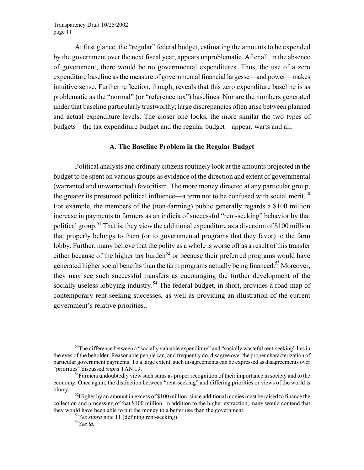At first glance, the "regular" federal budget, estimating the amounts to be expended by the government over the next fiscal year, appears unproblematic. After all, in the absence of government, there would be no governmental expenditures. Thus, the use of a zero expenditure baseline as the measure of governmental financial largesse—and power—makes intuitive sense. Further reflection, though, reveals that this zero expenditure baseline is as problematic as the "normal" (or "reference tax") baselines. Nor are the numbers generated under that baseline particularly trustworthy; large discrepancies often arise between planned and actual expenditure levels. The closer one looks, the more similar the two types of budgets—the tax expenditure budget and the regular budget—appear, warts and all.

#### **A. The Baseline Problem in the Regular Budget**

Political analysts and ordinary citizens routinely look at the amounts projected in the budget to be spent on various groups as evidence of the direction and extent of governmental (warranted and unwarranted) favoritism. The more money directed at any particular group, the greater its presumed political influence—a term not to be confused with social merit.<sup>5[0](#page-12-0)</sup> For example, the members of the (non-farming) public generally regards a \$100 million increase in payments to farmers as an indicia of successful "rent-seeking" behavior by that political group.<sup>51</sup> That is, they view the additional expenditure as a diversion of \$100 million that properly belongs to them (or to governmental programs that they favor) to the farm lobby. Further, many believe that the polity as a whole is worse off as a result of this transfer either because of the higher tax burden<sup>52</sup> or because their preferred programs would have generated higher social benefits than the farm programs actually being financed.53 [M](#page-12-3)oreover, they may see such successful transfers as encouraging the further development of the socially useless lobbying industry.<sup>54</sup> The federal budget, in short, provides a road-map of contemporary rent-seeking successes, as well as providing an illustration of the current government's relative priorities..

<span id="page-12-0"></span><sup>&</sup>lt;sup>50</sup>The difference between a "socially valuable expenditure" and "socially wasteful rent-seeking" lies in the eyes of the beholder. Reasonable people can, and frequently do, disagree over the proper characterization of particular government payments. To a large extent, such disagreements can be expressed as disagreements over "priorities" discussed *supra* TAN 19.<br><sup>51</sup>Farmers undoubtedly view such sums as proper recognition of their importance in society and to the

<span id="page-12-1"></span>economy. Once again, the distinction between "rent-seeking" and differing priorities or views of the world is blurry.<br><sup>52</sup>Higher by an amount in excess of \$100 million, since additional monies must be raised to finance the

collection and processing of that \$100 million. In addition to the higher extraction, many would contend that they would have been able to put the money to a better use than the government.<br><sup>53</sup>*See supra* note 11 (defining rent-seeking).<br><sup>54</sup>*See id.* 

<span id="page-12-3"></span><span id="page-12-2"></span>

<span id="page-12-4"></span>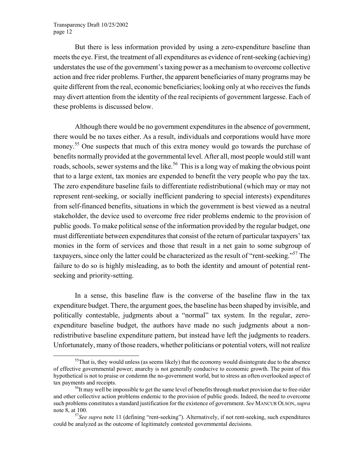But there is less information provided by using a zero-expenditure baseline than meets the eye. First, the treatment of all expenditures as evidence of rent-seeking (achieving) understates the use of the government's taxing power as a mechanism to overcome collective action and free rider problems. Further, the apparent beneficiaries of many programs may be quite different from the real, economic beneficiaries; looking only at who receives the funds may divert attention from the identity of the real recipients of government largesse. Each of these problems is discussed below.

Although there would be no government expenditures in the absence of government, there would be no taxes either. As a result, individuals and corporations would have more money.[55](#page-13-0) One suspects that much of this extra money would go towards the purchase of benefits normally provided at the governmental level. After all, most people would still want roads, schools, sewer systems and the like.<sup>56</sup> This is a long way of making the obvious point that to a large extent, tax monies are expended to benefit the very people who pay the tax. The zero expenditure baseline fails to differentiate redistributional (which may or may not represent rent-seeking, or socially inefficient pandering to special interests) expenditures from self-financed benefits, situations in which the government is best viewed as a neutral stakeholder, the device used to overcome free rider problems endemic to the provision of public goods. To make political sense of the information provided by the regular budget, one must differentiate between expenditures that consist of the return of particular taxpayers' tax monies in the form of services and those that result in a net gain to some subgroup of taxpayers, since only the latter could be characterized as the result of "rent-seeking."<sup>57</sup> The failure to do so is highly misleading, as to both the identity and amount of potential rentseeking and priority-setting.

In a sense, this baseline flaw is the converse of the baseline flaw in the tax expenditure budget. There, the argument goes, the baseline has been shaped by invisible, and politically contestable, judgments about a "normal" tax system. In the regular, zeroexpenditure baseline budget, the authors have made no such judgments about a nonredistributive baseline expenditure pattern, but instead have left the judgments to readers. Unfortunately, many of those readers, whether politicians or potential voters, will not realize

<span id="page-13-0"></span> $55$ That is, they would unless (as seems likely) that the economy would disintegrate due to the absence of effective governmental power; anarchy is not generally conducive to economic growth. The point of this hypothetical is not to praise or condemn the no-government world, but to stress an often overlooked aspect of

<span id="page-13-1"></span><sup>&</sup>lt;sup>56</sup>It may well be impossible to get the same level of benefits through market provision due to free-rider and other collective action problems endemic to the provision of public goods. Indeed, the need to overcome such problems constitutes a standard justification for the existence of government. *See* MANCUR OLSON, *supra*

<span id="page-13-2"></span>note 8, at 100.<br><sup>57</sup>*See supra* note 11 (defining "rent-seeking"). Alternatively, if not rent-seeking, such expenditures could be analyzed as the outcome of legitimately contested governmental decisions.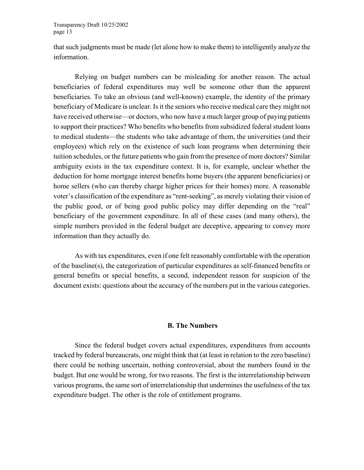that such judgments must be made (let alone how to make them) to intelligently analyze the information.

Relying on budget numbers can be misleading for another reason. The actual beneficiaries of federal expenditures may well be someone other than the apparent beneficiaries. To take an obvious (and well-known) example, the identity of the primary beneficiary of Medicare is unclear. Is it the seniors who receive medical care they might not have received otherwise—or doctors, who now have a much larger group of paying patients to support their practices? Who benefits who benefits from subsidized federal student loans to medical students—the students who take advantage of them, the universities (and their employees) which rely on the existence of such loan programs when determining their tuition schedules, or the future patients who gain from the presence of more doctors? Similar ambiguity exists in the tax expenditure context. It is, for example, unclear whether the deduction for home mortgage interest benefits home buyers (the apparent beneficiaries) or home sellers (who can thereby charge higher prices for their homes) more. A reasonable voter's classification of the expenditure as "rent-seeking", as merely violating their vision of the public good, or of being good public policy may differ depending on the "real" beneficiary of the government expenditure. In all of these cases (and many others), the simple numbers provided in the federal budget are deceptive, appearing to convey more information than they actually do.

As with tax expenditures, even if one felt reasonably comfortable with the operation of the baseline(s), the categorization of particular expenditures as self-financed benefits or general benefits or special benefits, a second, independent reason for suspicion of the document exists: questions about the accuracy of the numbers put in the various categories.

#### **B. The Numbers**

Since the federal budget covers actual expenditures, expenditures from accounts tracked by federal bureaucrats, one might think that (at least in relation to the zero baseline) there could be nothing uncertain, nothing controversial, about the numbers found in the budget. But one would be wrong, for two reasons. The first is the interrelationship between various programs, the same sort of interrelationship that undermines the usefulness of the tax expenditure budget. The other is the role of entitlement programs.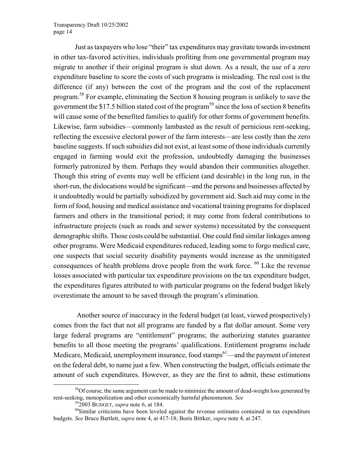Just as taxpayers who lose "their" tax expenditures may gravitate towards investment in other tax-favored activities, individuals profiting from one governmental program may migrate to another if their original program is shut down. As a result, the use of a zero expenditure baseline to score the costs of such programs is misleading. The real cost is the difference (if any) between the cost of the program and the cost of the replacement program.[58](#page-15-0) For example, eliminating the Section 8 housing program is unlikely to save the government the \$17.5 billion stated cost of the program<sup>59</sup> since the loss of section 8 benefits will cause some of the benefited families to qualify for other forms of government benefits. Likewise, farm subsidies—commonly lambasted as the result of pernicious rent-seeking, reflecting the excessive electoral power of the farm interests—are less costly than the zero baseline suggests. If such subsidies did not exist, at least some of those individuals currently engaged in farming would exit the profession, undoubtedly damaging the businesses formerly patronized by them. Perhaps they would abandon their communities altogether. Though this string of events may well be efficient (and desirable) in the long run, in the short-run, the dislocations would be significant—and the persons and businesses affected by it undoubtedly would be partially subsidized by government aid. Such aid may come in the form of food, housing and medical assistance and vocational training programs for displaced farmers and others in the transitional period; it may come from federal contributions to infrastructure projects (such as roads and sewer systems) necessitated by the consequent demographic shifts. Those costs could be substantial. One could find similar linkages among other programs. Were Medicaid expenditures reduced, leading some to forgo medical care, one suspects that social security disability payments would increase as the unmitigated consequences of health problems drove people from the work force. <sup>60</sup> Like the revenue losses associated with particular tax expenditure provisions on the tax expenditure budget, the expenditures figures attributed to with particular programs on the federal budget likely overestimate the amount to be saved through the program's elimination.

<span id="page-15-3"></span> Another source of inaccuracy in the federal budget (at least, viewed prospectively) comes from the fact that not all programs are funded by a flat dollar amount. Some very large federal programs are "entitlement" programs; the authorizing statutes guarantee benefits to all those meeting the programs' qualifications. Entitlement programs include Medicare, Medicaid, unemployment insurance, food stamps $61$ —and the payment of interest on the federal debt, to name just a few. When constructing the budget, officials estimate the amount of such expenditures. However, as they are the first to admit, these estimations

<sup>&</sup>lt;sup>58</sup>Of course, the same argument can be made to minimize the amount of dead-weight loss generated by rent-seeking, monopolization and other economically harmful phenomenon. *See*<br><sup>59</sup>2003 BUDGET, *supra* note 6, at 184.<br><sup>60</sup>Similar criticisms have been leveled against the revenue estimates contained in tax expenditure

<span id="page-15-2"></span><span id="page-15-1"></span><span id="page-15-0"></span>

budgets. *See* Bruce Bartlett, *supra* note 4, at 417-18; Boris Bittker, *supra* note 4, at 247.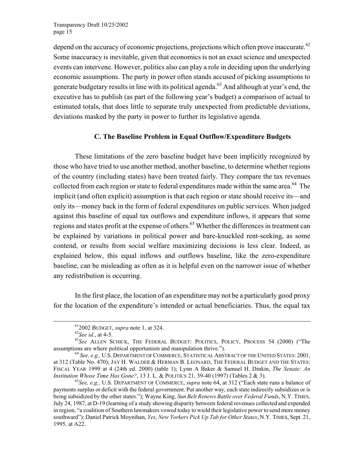depend on the accuracy of economic projections, projections which often prove inaccurate.<sup>6[2](#page-16-0)</sup> Some inaccuracy is inevitable, given that economics is not an exact science and unexpected events can intervene. However, politics also can play a role in deciding upon the underlying economic assumptions. The party in power often stands accused of picking assumptions to generate budgetary results in line with its political agenda.<sup>63</sup> And although at year's end, the executive has to publish (as part of the following year's budget) a comparison of actual to estimated totals, that does little to separate truly unexpected from predictable deviations, deviations masked by the party in power to further its legislative agenda.

#### **C. The Baseline Problem in Equal Outflow/Expenditure Budgets**

These limitations of the zero baseline budget have been implicitly recognized by those who have tried to use another method, another baseline, to determine whether regions of the country (including states) have been treated fairly. They compare the tax revenues collected from each region or state to federal expenditures made within the same area.<sup>64</sup> The implicit (and often explicit) assumption is that each region or state should receive its—and only its—money back in the form of federal expenditures on public services. When judged against this baseline of equal tax outflows and expenditure inflows, it appears that some regions and states profit at the expense of others.<sup>65</sup> Whether the differences in treatment can be explained by variations in political power and bare-knuckled rent-seeking, as some contend, or results from social welfare maximizing decisions is less clear. Indeed, as explained below, this equal inflows and outflows baseline, like the zero-expenditure baseline, can be misleading as often as it is helpful even on the narrower issue of whether any redistribution is occurring.

In the first place, the location of an expenditure may not be a particularly good proxy for the location of the expenditure's intended or actual beneficiaries. Thus, the equal tax

<span id="page-16-2"></span><span id="page-16-1"></span><span id="page-16-0"></span>

<sup>&</sup>lt;sup>61</sup>2002 BUDGET, *supra* note 1, at 324.<br><sup>62</sup>*See id.*, at 4-5. <sup>63</sup>*See ALLEN SCHICK*, THE FEDERAL BUDGET: POLITICS, POLICY, PROCESS 54 (2000) ("The assumptions are where political opportunism and manipulation thrive.").<br><sup>64</sup> *See, e.g., U.S. DEPARTMENT OF COMMERCE, STATISTICAL ABSTRACT OF THE UNITED STATES: 2001,* 

at 312 (Table No. 470); JAY H. WALDER & HERMAN B. LEONARD, THE FEDERAL BUDGET AND THE STATES: FISCAL YEAR 1999 at 4 (24th ed. 2000) (table 1); Lynn A Baker & Samuel H. Dinkin, *The Senate: An* 

<span id="page-16-3"></span><sup>&</sup>lt;sup>65</sup> See, e.g., U.S. DEPARTMENT OF COMMERCE, *supra* note 64, at 312 ("Each state runs a balance of payments surplus or deficit with the federal government. Put another way, each state indirectly subsidizes or is being subsidized by the other states."); Wayne King, *Sun Belt Renews Battle over Federal Funds*, N.Y. TIMES, July 24, 1987, at D-19 (learning of a study showing disparity between federal revenues collected and expended in region, "a coalition of Southern lawmakers vowed today to wield their legislative power to send more money southward"); Daniel Patrick Moynihan, *Yes, New Yorkers Pick Up Tab for Other States*, N.Y. TIMES, Sept. 21, 1995, at A22.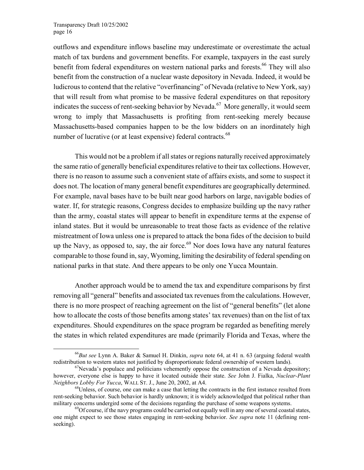outflows and expenditure inflows baseline may underestimate or overestimate the actual match of tax burdens and government benefits. For example, taxpayers in the east surely benefit from federal expenditures on western national parks and forests.<sup>66</sup> They will also benefit from the construction of a nuclear waste depository in Nevada. Indeed, it would be ludicrous to contend that the relative "overfinancing" of Nevada (relative to New York, say) that will result from what promise to be massive federal expenditures on that repository indicates the success of rent-seeking behavior by Nevada.<sup>67</sup> More generally, it would seem wrong to imply that Massachusetts is profiting from rent-seeking merely because Massachusetts-based companies happen to be the low bidders on an inordinately high number of lucrative (or at least expensive) federal contracts.<sup>68</sup>

This would not be a problem if all states or regions naturally received approximately the same ratio of generally beneficial expenditures relative to their tax collections. However, there is no reason to assume such a convenient state of affairs exists, and some to suspect it does not. The location of many general benefit expenditures are geographically determined. For example, naval bases have to be built near good harbors on large, navigable bodies of water. If, for strategic reasons, Congress decides to emphasize building up the navy rather than the army, coastal states will appear to benefit in expenditure terms at the expense of inland states. But it would be unreasonable to treat those facts as evidence of the relative mistreatment of Iowa unless one is prepared to attack the bona fides of the decision to build up the Navy, as opposed to, say, the air force.<sup>69</sup> Nor does Iowa have any natural features comparable to those found in, say, Wyoming, limiting the desirability of federal spending on national parks in that state. And there appears to be only one Yucca Mountain.

Another approach would be to amend the tax and expenditure comparisons by first removing all "general" benefits and associated tax revenues from the calculations. However, there is no more prospect of reaching agreement on the list of "general benefits" (let alone how to allocate the costs of those benefits among states' tax revenues) than on the list of tax expenditures. Should expenditures on the space program be regarded as benefiting merely the states in which related expenditures are made (primarily Florida and Texas, where the

<span id="page-17-0"></span> <sup>66</sup>*But see* Lynn A. Baker & Samuel H. Dinkin, *supra* note 64, at 41 n. 63 (arguing federal wealth redistribution to western states not justified by disproportionate federal ownership of western lands).<br><sup>67</sup>Nevada's populace and politicians vehemently oppose the construction of a Nevada depository;

<span id="page-17-1"></span>however, everyone else is happy to have it located outside their state. *See* John J. Fialka, *Nuclear-Plant Neighbors Lobby For Yucca*, WALL ST. J., June 20, 2002, at A4.<br><sup>68</sup>Unless, of course, one can make a case that letting the contracts in the first instance resulted from

<span id="page-17-2"></span>rent-seeking behavior. Such behavior is hardly unknown; it is widely acknowledged that political rather than military concerns undergird some of the decisions regarding the purchase of some weapons systems.<br><sup>69</sup>Of course, if the navy programs could be carried out equally well in any one of several coastal states,

<span id="page-17-3"></span>one might expect to see those states engaging in rent-seeking behavior. *See supra* note 11 (defining rentseeking).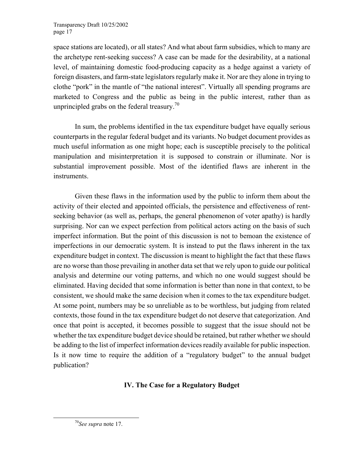space stations are located), or all states? And what about farm subsidies, which to many are the archetype rent-seeking success? A case can be made for the desirability, at a national level, of maintaining domestic food-producing capacity as a hedge against a variety of foreign disasters, and farm-state legislators regularly make it. Nor are they alone in trying to clothe "pork" in the mantle of "the national interest". Virtually all spending programs are marketed to Congress and the public as being in the public interest, rather than as unprincipled grabs on the federal treasury.<sup>70</sup>

In sum, the problems identified in the tax expenditure budget have equally serious counterparts in the regular federal budget and its variants. No budget document provides as much useful information as one might hope; each is susceptible precisely to the political manipulation and misinterpretation it is supposed to constrain or illuminate. Nor is substantial improvement possible. Most of the identified flaws are inherent in the instruments.

Given these flaws in the information used by the public to inform them about the activity of their elected and appointed officials, the persistence and effectiveness of rentseeking behavior (as well as, perhaps, the general phenomenon of voter apathy) is hardly surprising. Nor can we expect perfection from political actors acting on the basis of such imperfect information. But the point of this discussion is not to bemoan the existence of imperfections in our democratic system. It is instead to put the flaws inherent in the tax expenditure budget in context. The discussion is meant to highlight the fact that these flaws are no worse than those prevailing in another data set that we rely upon to guide our political analysis and determine our voting patterns, and which no one would suggest should be eliminated. Having decided that some information is better than none in that context, to be consistent, we should make the same decision when it comes to the tax expenditure budget. At some point, numbers may be so unreliable as to be worthless, but judging from related contexts, those found in the tax expenditure budget do not deserve that categorization. And once that point is accepted, it becomes possible to suggest that the issue should not be whether the tax expenditure budget device should be retained, but rather whether we should be adding to the list of imperfect information devices readily available for public inspection. Is it now time to require the addition of a "regulatory budget" to the annual budget publication?

# **IV. The Case for a Regulatory Budget**

<span id="page-18-0"></span> <sup>70</sup>*See supra* note 17.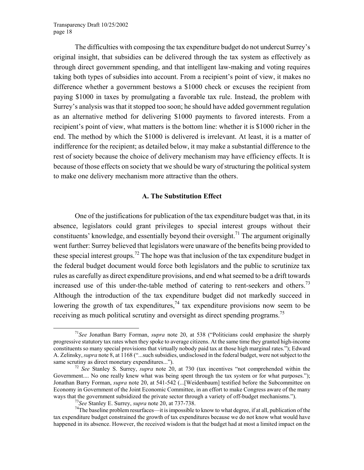<span id="page-19-3"></span>The difficulties with composing the tax expenditure budget do not undercut Surrey's original insight, that subsidies can be delivered through the tax system as effectively as through direct government spending, and that intelligent law-making and voting requires taking both types of subsidies into account. From a recipient's point of view, it makes no difference whether a government bestows a \$1000 check or excuses the recipient from paying \$1000 in taxes by promulgating a favorable tax rule. Instead, the problem with Surrey's analysis was that it stopped too soon; he should have added government regulation as an alternative method for delivering \$1000 payments to favored interests. From a recipient's point of view, what matters is the bottom line: whether it is \$1000 richer in the end. The method by which the \$1000 is delivered is irrelevant. At least, it is a matter of indifference for the recipient; as detailed below, it may make a substantial difference to the rest of society because the choice of delivery mechanism may have efficiency effects. It is because of those effects on society that we should be wary of structuring the political system to make one delivery mechanism more attractive than the others.

## **A. The Substitution Effect**

One of the justifications for publication of the tax expenditure budget was that, in its absence, legislators could grant privileges to special interest groups without their constituents' knowledge, and essentially beyond their oversight.<sup>71</sup> The argument originally went further: Surrey believed that legislators were unaware of the benefits being provided to these special interest groups.<sup>72</sup> The hope was that inclusion of the tax expenditure budget in the federal budget document would force both legislators and the public to scrutinize tax rules as carefully as direct expenditure provisions, and end what seemed to be a drift towards increased use of this under-the-table method of catering to rent-seekers and others.<sup>7[3](#page-19-2)</sup> Although the introduction of the tax expenditure budget did not markedly succeed in lowering the growth of tax expenditures,  $74$  tax expenditure provisions now seem to be receiving as much political scrutiny and oversight as direct spending programs.[75](#page-19-4) 

<span id="page-19-0"></span> <sup>71</sup>*See* Jonathan Barry Forman, *supra* note 20, at 538 ("Politicians could emphasize the sharply progressive statutory tax rates when they spoke to average citizens. At the same time they granted high-income constituents so many special provisions that virtually nobody paid tax at those high marginal rates."); Edward A. Zelinsky, *supra* note 8, at 1168 ("...such subsidies, undisclosed in the federal budget, were not subject to the same scrutiny as direct monetary expenditures...").<br><sup>72</sup> *See* Stanley S. Surrey, *supra* note 20, at 730 (tax incentives "not comprehended within the

<span id="page-19-4"></span><span id="page-19-1"></span>Government.... No one really knew what was being spent through the tax system or for what purposes."); Jonathan Barry Forman, *supra* note 20, at 541-542 (...[Weidenbaum] testified before the Subcommittee on Economy in Government of the Joint Economic Committee, in an effort to make Congress aware of the many ways that the government subsidized the private sector through a variety of off-budget mechanisms.").<br><sup>73</sup>See Stanley E. Surrey, *supra* note 20, at 737-738.<br><sup>74</sup>The baseline problem resurfaces—it is impossible to know to

<span id="page-19-2"></span>

tax expenditure budget constrained the growth of tax expenditures because we do not know what would have happened in its absence. However, the received wisdom is that the budget had at most a limited impact on the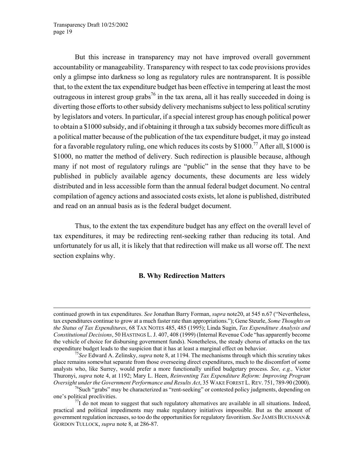$\overline{\phantom{a}}$ 

But this increase in transparency may not have improved overall government accountability or manageability. Transparency with respect to tax code provisions provides only a glimpse into darkness so long as regulatory rules are nontransparent. It is possible that, to the extent the tax expenditure budget has been effective in tempering at least the most outrageous in interest group grabs<sup>76</sup> in the tax arena, all it has really succeeded in doing is diverting those efforts to other subsidy delivery mechanisms subject to less political scrutiny by legislators and voters. In particular, if a special interest group has enough political power to obtain a \$1000 subsidy, and if obtaining it through a tax subsidy becomes more difficult as a political matter because of the publication of the tax expenditure budget, it may go instead for a favorable regulatory ruling, one which reduces its costs by  $$1000<sup>77</sup>$  After all,  $$1000$  is \$1000, no matter the method of delivery. Such redirection is plausible because, although many if not most of regulatory rulings are "public" in the sense that they have to be published in publicly available agency documents, these documents are less widely distributed and in less accessible form than the annual federal budget document. No central compilation of agency actions and associated costs exists, let alone is published, distributed and read on an annual basis as is the federal budget document.

Thus, to the extent the tax expenditure budget has any effect on the overall level of tax expenditures, it may be redirecting rent-seeking rather than reducing its total. And unfortunately for us all, it is likely that that redirection will make us all worse off. The next section explains why.

#### **B. Why Redirection Matters**

continued growth in tax expenditures. *See* Jonathan Barry Forman, *supra* note20, at 545 n.67 ("Nevertheless, tax expenditures continue to grow at a much faster rate than appropriations."); Gene Steurle, *Some Thoughts on the Status of Tax Expenditures*, 68 TAX NOTES 485, 485 (1995); Linda Sugin, *Tax Expenditure Analysis and Constitutional Decisions*, 50 HASTINGS L. J. 407, 408 (1999) (Internal Revenue Code "has apparently become the vehicle of choice for disbursing government funds). Nonetheless, the steady chorus of attacks on the tax expenditure budget leads to the suspicion that it has at least a marginal effect on behavior. 75*See* Edward A. Zelinsky, *supra* note 8, at 1194. The mechanisms through which this scrutiny takes

place remains somewhat separate from those overseeing direct expenditures, much to the discomfort of some analysts who, like Surrey, would prefer a more functionally unified budgetary process. *See, e.g.,* Victor Thuronyi, *supra* note 4, at 1192; Mary L. Heen, *Reinventing Tax Expenditure Reform: Improving Program Oversight under the Government Performance and Results Act*, 35 WAKE FOREST L. REV. 751, 789-90 (2000).<br><sup>76</sup>Such "grabs" may be characterized as "rent-seeking" or contested policy judgments, depending on

<span id="page-20-0"></span>one's political proclivities.<br> $^{77}I$  do not mean to suggest that such regulatory alternatives are available in all situations. Indeed,

<span id="page-20-1"></span>practical and political impediments may make regulatory initiatives impossible. But as the amount of government regulation increases, so too do the opportunities for regulatory favoritism. *See* JAMES BUCHANAN & GORDON TULLOCK, *supra* note 8, at 286-87.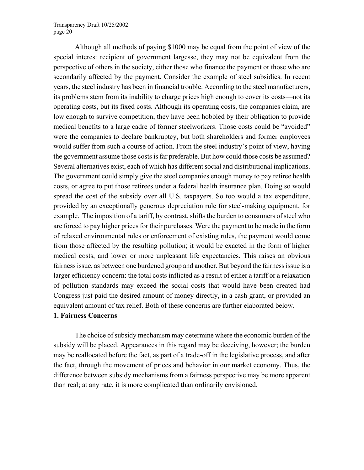Although all methods of paying \$1000 may be equal from the point of view of the special interest recipient of government largesse, they may not be equivalent from the perspective of others in the society, either those who finance the payment or those who are secondarily affected by the payment. Consider the example of steel subsidies. In recent years, the steel industry has been in financial trouble. According to the steel manufacturers, its problems stem from its inability to charge prices high enough to cover its costs—not its operating costs, but its fixed costs. Although its operating costs, the companies claim, are low enough to survive competition, they have been hobbled by their obligation to provide medical benefits to a large cadre of former steelworkers. Those costs could be "avoided" were the companies to declare bankruptcy, but both shareholders and former employees would suffer from such a course of action. From the steel industry's point of view, having the government assume those costs is far preferable. But how could those costs be assumed? Several alternatives exist, each of which has different social and distributional implications. The government could simply give the steel companies enough money to pay retiree health costs, or agree to put those retirees under a federal health insurance plan. Doing so would spread the cost of the subsidy over all U.S. taxpayers. So too would a tax expenditure, provided by an exceptionally generous depreciation rule for steel-making equipment, for example. The imposition of a tariff, by contrast, shifts the burden to consumers of steel who are forced to pay higher prices for their purchases. Were the payment to be made in the form of relaxed environmental rules or enforcement of existing rules, the payment would come from those affected by the resulting pollution; it would be exacted in the form of higher medical costs, and lower or more unpleasant life expectancies. This raises an obvious fairness issue, as between one burdened group and another. But beyond the fairness issue is a larger efficiency concern: the total costs inflicted as a result of either a tariff or a relaxation of pollution standards may exceed the social costs that would have been created had Congress just paid the desired amount of money directly, in a cash grant, or provided an equivalent amount of tax relief. Both of these concerns are further elaborated below.

### **1. Fairness Concerns**

The choice of subsidy mechanism may determine where the economic burden of the subsidy will be placed. Appearances in this regard may be deceiving, however; the burden may be reallocated before the fact, as part of a trade-off in the legislative process, and after the fact, through the movement of prices and behavior in our market economy. Thus, the difference between subsidy mechanisms from a fairness perspective may be more apparent than real; at any rate, it is more complicated than ordinarily envisioned.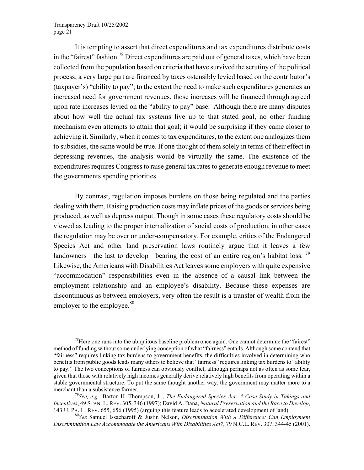It is tempting to assert that direct expenditures and tax expenditures distribute costs in the "fairest" fashion.<sup>78</sup> Direct expenditures are paid out of general taxes, which have been collected from the population based on criteria that have survived the scrutiny of the political process; a very large part are financed by taxes ostensibly levied based on the contributor's (taxpayer's) "ability to pay"; to the extent the need to make such expenditures generates an increased need for government revenues, those increases will be financed through agreed upon rate increases levied on the "ability to pay" base. Although there are many disputes about how well the actual tax systems live up to that stated goal, no other funding mechanism even attempts to attain that goal; it would be surprising if they came closer to achieving it. Similarly, when it comes to tax expenditures, to the extent one analogizes them to subsidies, the same would be true. If one thought of them solely in terms of their effect in depressing revenues, the analysis would be virtually the same. The existence of the expenditures requires Congress to raise general tax rates to generate enough revenue to meet the governments spending priorities.

By contrast, regulation imposes burdens on those being regulated and the parties dealing with them. Raising production costs may inflate prices of the goods or services being produced, as well as depress output. Though in some cases these regulatory costs should be viewed as leading to the proper internalization of social costs of production, in other cases the regulation may be over or under-compensatory. For example, critics of the Endangered Species Act and other land preservation laws routinely argue that it leaves a few landowners—the last to develop—bearing the cost of an entire region's habitat loss.  $^{79}$  $^{79}$  $^{79}$ Likewise, the Americans with Disabilities Act leaves some employers with quite expensive "accommodation" responsibilities even in the absence of a causal link between the employment relationship and an employee's disability. Because these expenses are discontinuous as between employers, very often the result is a transfer of wealth from the employer to the employee. $80$ 

<span id="page-22-0"></span><sup>&</sup>lt;sup>78</sup>Here one runs into the ubiquitous baseline problem once again. One cannot determine the "fairest" method of funding without some underlying conception of what "fairness" entails. Although some contend that "fairness" requires linking tax burdens to government benefits, the difficulties involved in determining who benefits from public goods leads many others to believe that "fairness" requires linking tax burdens to "ability to pay." The two conceptions of fairness can obviously conflict, although perhaps not as often as some fear, given that those with relatively high incomes generally derive relatively high benefits from operating within a stable governmental structure. To put the same thought another way, the government may matter more to a merchant than a subsistence farmer.<br><sup>79</sup>*See, e.g.*, Barton H. Thompson, Jr., *The Endangered Species Act: A Case Study in Takings and* 

<span id="page-22-1"></span>*Incentives*, 49 STAN. L. REV. 305, 346 (1997); David A. Dana, *Natural Preservation and the Race to Develop*, 143 U. PA. L. REV. 655, 656 (1995) (arguing this feature leads to accelerated development of land). 80*See* Samuel Issacharoff & Justin Nelson, *Discrimination With A Difference: Can Employment* 

<span id="page-22-2"></span>*Discrimination Law Accommodate the Americans With Disabilities Act?*, 79 N.C.L. REV. 307, 344-45 (2001).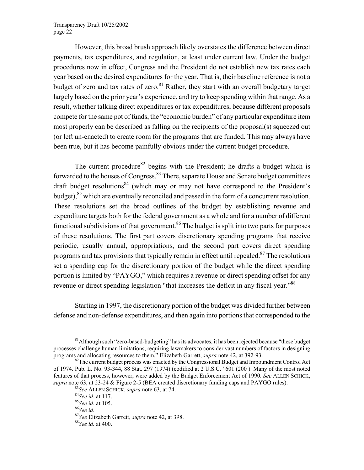However, this broad brush approach likely overstates the difference between direct payments, tax expenditures, and regulation, at least under current law. Under the budget procedures now in effect, Congress and the President do not establish new tax rates each year based on the desired expenditures for the year. That is, their baseline reference is not a budget of zero and tax rates of zero.<sup>81</sup> Rather, they start with an overall budgetary target largely based on the prior year's experience, and try to keep spending within that range. As a result, whether talking direct expenditures or tax expenditures, because different proposals compete for the same pot of funds, the "economic burden" of any particular expenditure item most properly can be described as falling on the recipients of the proposal(s) squeezed out (or left un-enacted) to create room for the programs that are funded. This may always have been true, but it has become painfully obvious under the current budget procedure.

The current procedure<sup>82</sup> begins with the President; he drafts a budget which is forwarded to the houses of Congress.<sup>83</sup> There, separate House and Senate budget committees draft budget resolutions<sup>84</sup> (which may or may not have correspond to the President's budget),<sup>85</sup> which are eventually reconciled and passed in the form of a concurrent resolution. These resolutions set the broad outlines of the budget by establishing revenue and expenditure targets both for the federal government as a whole and for a number of different functional subdivisions of that government.<sup>86</sup> The budget is split into two parts for purposes of these resolutions. The first part covers discretionary spending programs that receive periodic, usually annual, appropriations, and the second part covers direct spending programs and tax provisions that typically remain in effect until repealed.<sup>87</sup> The resolutions set a spending cap for the discretionary portion of the budget while the direct spending portion is limited by "PAYGO," which requires a revenue or direct spending offset for any revenue or direct spending legislation "that increases the deficit in any fiscal year."<sup>88</sup>

Starting in 1997, the discretionary portion of the budget was divided further between defense and non-defense expenditures, and then again into portions that corresponded to the

<span id="page-23-0"></span> $81$ Although such "zero-based-budgeting" has its advocates, it has been rejected because "these budget" processes challenge human limitations, requiring lawmakers to consider vast numbers of factors in designing programs and allocating resources to them." Elizabeth Garrett, *supra* note 42, at 392-93.<br><sup>82</sup>The current budget process was enacted by the Congressional Budget and Impoundment Control Act

<span id="page-23-1"></span>of 1974. Pub. L. No. 93-344, 88 Stat. 297 (1974) (codified at 2 U.S.C. ' 601 (200 ). Many of the most noted features of that process, however, were added by the Budget Enforcement Act of 1990. *See* ALLEN SCHICK, *supra* note 63, at 23-24 & Figure 2-5 (BEA created discretionary funding caps and PAYGO rules).<br><sup>83</sup>*See ALLEN SCHICK, <i>supra* note 63, at 74. <sup>84</sup>*See id.* at 117. <sup>85</sup>*See id.* at 105. <sup>86</sup>*See id.* 

<span id="page-23-2"></span>

<span id="page-23-3"></span>

<span id="page-23-4"></span>

<span id="page-23-5"></span>

<span id="page-23-6"></span><sup>87</sup>*See* Elizabeth Garrett, *supra* note 42, at 398. 88*See id.* at 400.

<span id="page-23-7"></span>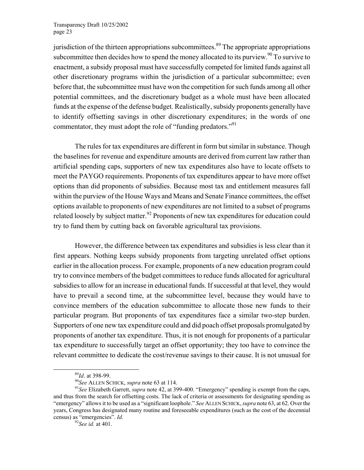jurisdiction of the thirteen appropriations subcommittees.<sup>89</sup> The appropriate appropriations subcommittee then decides how to spend the money allocated to its purview.<sup>90</sup> To survive to enactment, a subsidy proposal must have successfully competed for limited funds against all other discretionary programs within the jurisdiction of a particular subcommittee; even before that, the subcommittee must have won the competition for such funds among all other potential committees, and the discretionary budget as a whole must have been allocated funds at the expense of the defense budget. Realistically, subsidy proponents generally have to identify offsetting savings in other discretionary expenditures; in the words of one commentator, they must adopt the role of "funding predators."<sup>91</sup>

The rules for tax expenditures are different in form but similar in substance. Though the baselines for revenue and expenditure amounts are derived from current law rather than artificial spending caps, supporters of new tax expenditures also have to locate offsets to meet the PAYGO requirements. Proponents of tax expenditures appear to have more offset options than did proponents of subsidies. Because most tax and entitlement measures fall within the purview of the House Ways and Means and Senate Finance committees, the offset options available to proponents of new expenditures are not limited to a subset of programs related loosely by subject matter.<sup>92</sup> Proponents of new tax expenditures for education could try to fund them by cutting back on favorable agricultural tax provisions.

However, the difference between tax expenditures and subsidies is less clear than it first appears. Nothing keeps subsidy proponents from targeting unrelated offset options earlier in the allocation process. For example, proponents of a new education program could try to convince members of the budget committees to reduce funds allocated for agricultural subsidies to allow for an increase in educational funds. If successful at that level, they would have to prevail a second time, at the subcommittee level, because they would have to convince members of the education subcommittee to allocate those new funds to their particular program. But proponents of tax expenditures face a similar two-step burden. Supporters of one new tax expenditure could and did poach offset proposals promulgated by proponents of another tax expenditure. Thus, it is not enough for proponents of a particular tax expenditure to successfully target an offset opportunity; they too have to convince the relevant committee to dedicate the cost/revenue savings to their cause. It is not unusual for

<span id="page-24-3"></span>

<span id="page-24-0"></span>

<span id="page-24-2"></span><span id="page-24-1"></span>

<sup>&</sup>lt;sup>89</sup>*Id.* at 398-99.<br><sup>90</sup>*See* ALLEN SCHICK, *supra* note 63 at 114.<br><sup>91</sup>*See* Elizabeth Garrett, *supra* note 42, at 399-400. "Emergency" spending is exempt from the caps, and thus from the search for offsetting costs. The lack of criteria or assessments for designating spending as "emergency" allows it to be used as a "significant loophole." *See* ALLEN SCHICK, *supra* note 63, at 62. Over the years, Congress has designated many routine and foreseeable expenditures (such as the cost of the decennial census) as "emergencies". *Id.* <sup>92</sup>*See id.* at 401.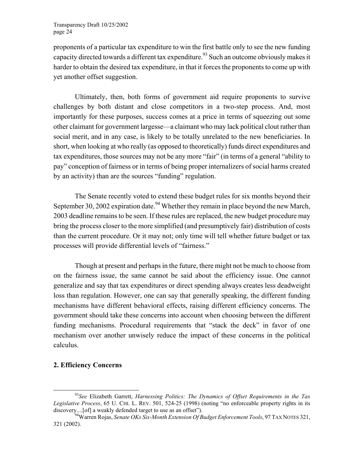proponents of a particular tax expenditure to win the first battle only to see the new funding capacity directed towards a different tax expenditure.<sup>93</sup> Such an outcome obviously makes it harder to obtain the desired tax expenditure, in that it forces the proponents to come up with yet another offset suggestion.

Ultimately, then, both forms of government aid require proponents to survive challenges by both distant and close competitors in a two-step process. And, most importantly for these purposes, success comes at a price in terms of squeezing out some other claimant for government largesse—a claimant who may lack political clout rather than social merit, and in any case, is likely to be totally unrelated to the new beneficiaries. In short, when looking at who really (as opposed to theoretically) funds direct expenditures and tax expenditures, those sources may not be any more "fair" (in terms of a general "ability to pay" conception of fairness or in terms of being proper internalizers of social harms created by an activity) than are the sources "funding" regulation.

The Senate recently voted to extend these budget rules for six months beyond their September 30, 2002 expiration date.<sup>94</sup> Whether they remain in place beyond the new March, 2003 deadline remains to be seen. If these rules are replaced, the new budget procedure may bring the process closer to the more simplified (and presumptively fair) distribution of costs than the current procedure. Or it may not; only time will tell whether future budget or tax processes will provide differential levels of "fairness."

Though at present and perhaps in the future, there might not be much to choose from on the fairness issue, the same cannot be said about the efficiency issue. One cannot generalize and say that tax expenditures or direct spending always creates less deadweight loss than regulation. However, one can say that generally speaking, the different funding mechanisms have different behavioral effects, raising different efficiency concerns. The government should take these concerns into account when choosing between the different funding mechanisms. Procedural requirements that "stack the deck" in favor of one mechanism over another unwisely reduce the impact of these concerns in the political calculus.

## **2. Efficiency Concerns**

<span id="page-25-0"></span> <sup>93</sup>*See* Elizabeth Garrett, *Harnessing Politics: The Dynamics of Offset Requirements in the Tax Legislative Process*, 65 U. CHI. L. REV. 501, 524-25 (1998) (noting "no enforceable property rights in its discovery....[of] a weakly defended target to use as an offset").

<span id="page-25-1"></span><sup>&</sup>lt;sup>94</sup>Warren Rojas, *Senate OKs Six-Month Extension Of Budget Enforcement Tools*, 97 TAX NOTES 321, 321 (2002).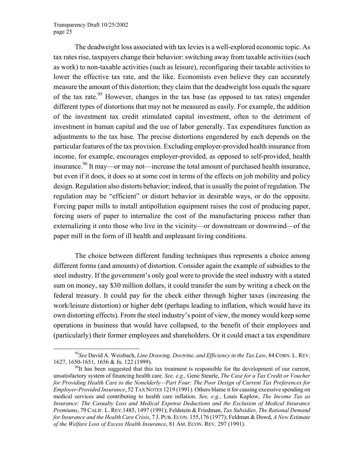The deadweight loss associated with tax levies is a well-explored economic topic. As tax rates rise, taxpayers change their behavior: switching away from taxable activities (such as work) to non-taxable activities (such as leisure), reconfiguring their taxable activities to lower the effective tax rate, and the like. Economists even believe they can accurately measure the amount of this distortion; they claim that the deadweight loss equals the square of the tax rate.<sup>95</sup> However, changes in the tax base (as opposed to tax rates) engender different types of distortions that may not be measured as easily. For example, the addition of the investment tax credit stimulated capital investment, often to the detriment of investment in human capital and the use of labor generally. Tax expenditures function as adjustments to the tax base. The precise distortions engendered by each depends on the particular features of the tax provision. Excluding employer-provided health insurance from income, for example, encourages employer-provided, as opposed to self-provided, health insurance.<sup>96</sup> It may—or may not—increase the total amount of purchased health insurance, but even if it does, it does so at some cost in terms of the effects on job mobility and policy design. Regulation also distorts behavior; indeed, that is usually the point of regulation. The regulation may be "efficient" or distort behavior in desirable ways, or do the opposite. Forcing paper mills to install antipollution equipment raises the cost of producing paper, forcing users of paper to internalize the cost of the manufacturing process rather than externalizing it onto those who live in the vicinity—or downstream or downwind—of the paper mill in the form of ill health and unpleasant living conditions.

The choice between different funding techniques thus represents a choice among different forms (and amounts) of distortion. Consider again the example of subsidies to the steel industry. If the government's only goal were to provide the steel industry with a stated sum on money, say \$30 million dollars, it could transfer the sum by writing a check on the federal treasury. It could pay for the check either through higher taxes (increasing the work/leisure distortion) or higher debt (perhaps leading to inflation, which would have its own distorting effects). From the steel industry's point of view, the money would keep some operations in business that would have collapsed, to the benefit of their employees and (particularly) their former employees and shareholders. Or it could enact a tax expenditure

<span id="page-26-0"></span> <sup>95</sup>*See* David A. Weisbach, *Line Drawing, Doctrine, and Efficiency in the Tax Law*, 84 CORN. L. REV. 1627, 1650-1651, 1656 & fn. 122 (1999).<br><sup>96</sup>It has been suggested that this tax treatment is responsible for the development of our current,

<span id="page-26-1"></span>unsatisfactory system of financing health care. *See, e.g.,* Gene Steurle, *The Case for a Tax Credit or Voucher for Providing Health Care to the Nonelderly—Part Four: The Poor Design of Current Tax Preferences for Employer-Provided Insurance*, 52 TAX NOTES 1219 (1991). Others blame it for causing excessive spending on medical services and contributing to health care inflation. *See, e.g.*, Louis Kaplow, *The Income Tax as Insurance: The Casualty Loss and Medical Expense Deductions and the Exclusion of Medical Insurance Premiums*, 79 CALIF. L. REV.1485, 1497 (1991); Feldstein & Friedman, *Tax Subsidies, The Rational Demand for Insurance and the Health Care Crisis*, 7 J. PUB. ECON. 155,176 (1977); Feldman & Dowd, *A New Estimate of the Welfare Loss of Excess Health Insurance*, 81 AM. ECON. REV. 297 (1991).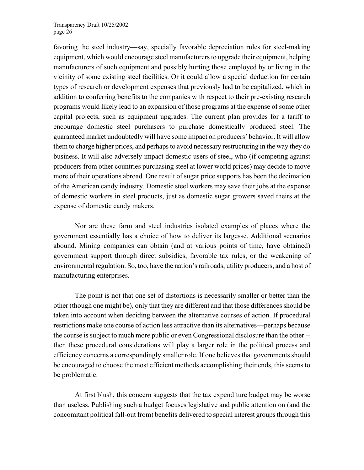favoring the steel industry—say, specially favorable depreciation rules for steel-making equipment, which would encourage steel manufacturers to upgrade their equipment, helping manufacturers of such equipment and possibly hurting those employed by or living in the vicinity of some existing steel facilities. Or it could allow a special deduction for certain types of research or development expenses that previously had to be capitalized, which in addition to conferring benefits to the companies with respect to their pre-existing research programs would likely lead to an expansion of those programs at the expense of some other capital projects, such as equipment upgrades. The current plan provides for a tariff to encourage domestic steel purchasers to purchase domestically produced steel. The guaranteed market undoubtedly will have some impact on producers' behavior. It will allow them to charge higher prices, and perhaps to avoid necessary restructuring in the way they do business. It will also adversely impact domestic users of steel, who (if competing against producers from other countries purchasing steel at lower world prices) may decide to move more of their operations abroad. One result of sugar price supports has been the decimation of the American candy industry. Domestic steel workers may save their jobs at the expense of domestic workers in steel products, just as domestic sugar growers saved theirs at the expense of domestic candy makers.

Nor are these farm and steel industries isolated examples of places where the government essentially has a choice of how to deliver its largesse. Additional scenarios abound. Mining companies can obtain (and at various points of time, have obtained) government support through direct subsidies, favorable tax rules, or the weakening of environmental regulation. So, too, have the nation's railroads, utility producers, and a host of manufacturing enterprises.

The point is not that one set of distortions is necessarily smaller or better than the other (though one might be), only that they are different and that those differences should be taken into account when deciding between the alternative courses of action. If procedural restrictions make one course of action less attractive than its alternatives—perhaps because the course is subject to much more public or even Congressional disclosure than the other - then these procedural considerations will play a larger role in the political process and efficiency concerns a correspondingly smaller role. If one believes that governments should be encouraged to choose the most efficient methods accomplishing their ends, this seems to be problematic.

At first blush, this concern suggests that the tax expenditure budget may be worse than useless. Publishing such a budget focuses legislative and public attention on (and the concomitant political fall-out from) benefits delivered to special interest groups through this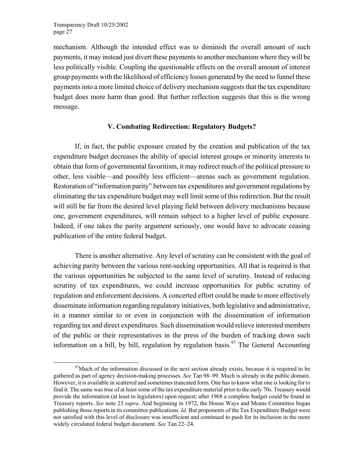mechanism. Although the intended effect was to diminish the overall amount of such payments, it may instead just divert these payments to another mechanism where they will be less politically visible. Coupling the questionable effects on the overall amount of interest group payments with the likelihood of efficiency losses generated by the need to funnel these payments into a more limited choice of delivery mechanism suggests that the tax expenditure budget does more harm than good. But further reflection suggests that this is the wrong message.

#### **V. Combating Redirection: Regulatory Budgets?**

If, in fact, the public exposure created by the creation and publication of the tax expenditure budget decreases the ability of special interest groups or minority interests to obtain that form of governmental favoritism, it may redirect much of the political pressure to other, less visible—and possibly less efficient—arenas such as government regulation. Restoration of "information parity" between tax expenditures and government regulations by eliminating the tax expenditure budget may well limit some of this redirection. But the result will still be far from the desired level playing field between delivery mechanisms because one, government expenditures, will remain subject to a higher level of public exposure. Indeed, if one takes the parity argument seriously, one would have to advocate ceasing publication of the entire federal budget.

There is another alternative. Any level of scrutiny can be consistent with the goal of achieving parity between the various rent-seeking opportunities. All that is required is that the various opportunities be subjected to the same level of scrutiny. Instead of reducing scrutiny of tax expenditures, we could increase opportunities for public scrutiny of regulation and enforcement decisions. A concerted effort could be made to more effectively disseminate information regarding regulatory initiatives, both legislative and administrative, in a manner similar to or even in conjunction with the dissemination of information regarding tax and direct expenditures. Such dissemination would relieve interested members of the public or their representatives in the press of the burden of tracking down such information on a bill, by bill, regulation by regulation basis.<sup>97</sup> The General Accounting

<span id="page-28-0"></span> $\frac{97}{97}$ Much of the information discussed in the next section already exists, because it is required to be gathered as part of agency decision-making processes. *See* Tan 98–99. Much is already in the public domain. However, it is available in scattered and sometimes truncated form. One has to know what one is looking for to find it. The same was true of at least some of the tax expenditure material prior to the early 70s. Treasury would provide the information (at least to legislators) upon request; after 1968 a complete budget could be found in Treasury reports. *See* note 23 *supra*. And beginning in 1972, the House Ways and Means Committee began publishing those reports in its committee publications. *Id.* But proponents of the Tax Expenditure Budget were not satisfied with this level of disclosure was insufficient and continued to push for its inclusion in the more widely circulated federal budget document. *See* Tan 22–24.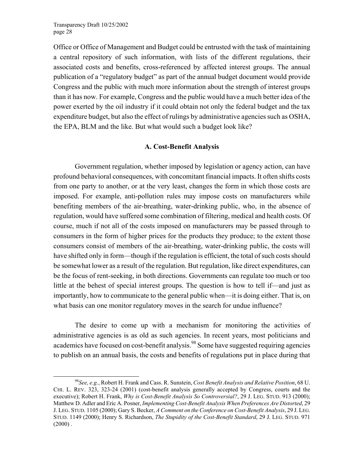Office or Office of Management and Budget could be entrusted with the task of maintaining a central repository of such information, with lists of the different regulations, their associated costs and benefits, cross-referenced by affected interest groups. The annual publication of a "regulatory budget" as part of the annual budget document would provide Congress and the public with much more information about the strength of interest groups than it has now. For example, Congress and the public would have a much better idea of the power exerted by the oil industry if it could obtain not only the federal budget and the tax expenditure budget, but also the effect of rulings by administrative agencies such as OSHA, the EPA, BLM and the like. But what would such a budget look like?

#### **A. Cost-Benefit Analysis**

Government regulation, whether imposed by legislation or agency action, can have profound behavioral consequences, with concomitant financial impacts. It often shifts costs from one party to another, or at the very least, changes the form in which those costs are imposed. For example, anti-pollution rules may impose costs on manufacturers while benefiting members of the air-breathing, water-drinking public, who, in the absence of regulation, would have suffered some combination of filtering, medical and health costs. Of course, much if not all of the costs imposed on manufacturers may be passed through to consumers in the form of higher prices for the products they produce; to the extent those consumers consist of members of the air-breathing, water-drinking public, the costs will have shifted only in form—though if the regulation is efficient, the total of such costs should be somewhat lower as a result of the regulation. But regulation, like direct expenditures, can be the focus of rent-seeking, in both directions. Governments can regulate too much or too little at the behest of special interest groups. The question is how to tell if—and just as importantly, how to communicate to the general public when—it is doing either. That is, on what basis can one monitor regulatory moves in the search for undue influence?

The desire to come up with a mechanism for monitoring the activities of administrative agencies is as old as such agencies. In recent years, most politicians and academics have focused on cost-benefit analysis.<sup>98</sup> Some have suggested requiring agencies to publish on an annual basis, the costs and benefits of regulations put in place during that

<span id="page-29-0"></span> <sup>98</sup>*See, e.g.*, Robert H. Frank and Cass. R. Sunstein, *Cost Benefit Analysis and Relative Position*, 68 U. CHI. L. REV. 323, 323-24 (2001) (cost-benefit analysis generally accepted by Congress, courts and the executive); Robert H. Frank, *Why is Cost-Benefit Analysis So Controversial?*, 29 J. LEG. STUD. 913 (2000); Matthew D. Adler and Eric A. Posner, *Implementing Cost-Benefit Analysis When Preferences Are Distorted*, 29 J. LEG. STUD. 1105 (2000); Gary S. Becker, *A Comment on the Conference on Cost-Benefit Analysis*, 29 J. LEG. STUD. 1149 (2000); Henry S. Richardson, *The Stupidity of the Cost-Benefit Standard*, 29 J. LEG. STUD. 971  $(2000)$ .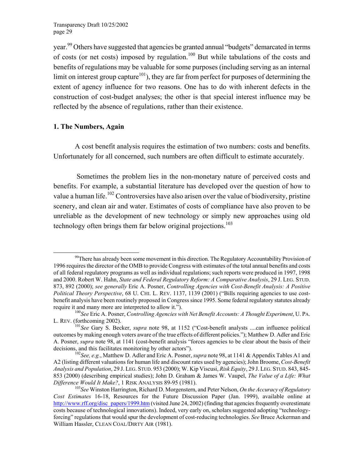year.<sup>99</sup> Others have suggested that agencies be granted annual "budgets" demarcated in terms of costs (or net costs) imposed by regulation.<sup>100</sup> But while tabulations of the costs and benefits of regulations may be valuable for some purposes (including serving as an internal limit on interest group capture<sup>101</sup>), they are far from perfect for purposes of determining the extent of agency influence for two reasons. One has to do with inherent defects in the construction of cost-budget analyses; the other is that special interest influence may be reflected by the absence of regulations, rather than their existence.

#### **1. The Numbers, Again**

A cost benefit analysis requires the estimation of two numbers: costs and benefits. Unfortunately for all concerned, such numbers are often difficult to estimate accurately.

 Sometimes the problem lies in the non-monetary nature of perceived costs and benefits. For example, a substantial literature has developed over the question of how to value a human life.<sup>102</sup> Controversies have also arisen over the value of biodiversity, pristine scenery, and clean air and water. Estimates of costs of compliance have also proven to be unreliable as the development of new technology or simply new approaches using old technology often brings them far below original projections.<sup>1[03](#page-30-4)</sup>

<span id="page-30-0"></span> $99$ There has already been some movement in this direction. The Regulatory Accountability Provision of 1996 requires the director of the OMB to provide Congress with estimates of the total annual benefits and costs of all federal regulatory programs as well as individual regulations; such reports were produced in 1997, 1998 and 2000. Robert W. Hahn, *State and Federal Regulatory Reform: A Comparative Analysis*, 29 J. LEG. STUD. 873, 892 (2000); *see generally* Eric A. Posner, *Controlling Agencies with Cost-Benefit Analysis: A Positive Political Theory Perspective*, 68 U. CHI. L. REV. 1137, 1139 (2001) ("Bills requiring agencies to use costbenefit analysis have been routinely proposed in Congress since 1995. Some federal regulatory statutes already

<span id="page-30-1"></span>require it and many more are interpreted to allow it.").<br><sup>100</sup>*See* Eric A. Posner, *Controlling Agencies with Net Benefit Accounts: A Thought Experiment*, U. PA. L. REV. (forthcoming 2002). 101*See* Gary S. Becker, *supra* note 98, at 1152 ("Cost-benefit analysts ....can influence political

<span id="page-30-2"></span>outcomes by making enough voters aware of the true effects of different policies."); Matthew D. Adler and Eric A. Posner, *supra* note 98, at 1141 (cost-benefit analysis "forces agencies to be clear about the basis of their decisions, and this facilitates monitoring by other actors").<br><sup>102</sup>*See, e.g.*, Matthew D. Adler and Eric A. Posner, *supra* note 98, at 1141 & Appendix Tables A1 and

<span id="page-30-3"></span>A2 (listing different valuations for human life and discount rates used by agencies); John Broome, *Cost-Benefit Analysis and Population*, 29 J. LEG. STUD. 953 (2000); W. Kip Viscusi, *Risk Equity*, 29 J. LEG. STUD. 843, 845- 853 (2000) (describing empirical studies); John D. Graham & James W. Vaupel, *The Value of a Life: What Difference Would It Make?*, 1 RISK ANALYSIS 89-95 (1981).<br><sup>103</sup>*See* Winston Harrington, Richard D. Morgenstern, and Peter Nelson, *On the Accuracy of Regulatory* 

<span id="page-30-4"></span>*Cost Estimates* 16-18, Resources for the Future Discussion Paper (Jan. 1999), available online at http://www.rff.org/disc\_papers/1999.htm (visited June 24, 2002) (finding that agencies frequently overestimate costs because of technological innovations). Indeed, very early on, scholars suggested adopting "technologyforcing" regulations that would spur the development of cost-reducing technologies. *See* Bruce Ackerman and William Hassler, CLEAN COAL/DIRTY AIR (1981).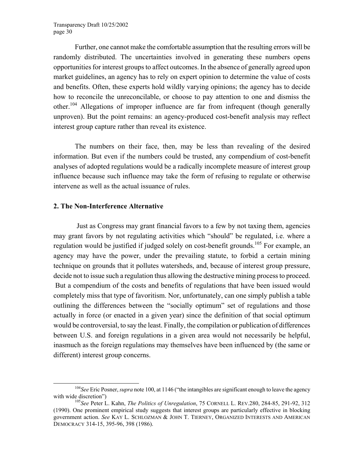Further, one cannot make the comfortable assumption that the resulting errors will be randomly distributed. The uncertainties involved in generating these numbers opens opportunities for interest groups to affect outcomes. In the absence of generally agreed upon market guidelines, an agency has to rely on expert opinion to determine the value of costs and benefits. Often, these experts hold wildly varying opinions; the agency has to decide how to reconcile the unreconcilable, or choose to pay attention to one and dismiss the other.1[04](#page-31-0) Allegations of improper influence are far from infrequent (though generally unproven). But the point remains: an agency-produced cost-benefit analysis may reflect interest group capture rather than reveal its existence.

The numbers on their face, then, may be less than revealing of the desired information. But even if the numbers could be trusted, any compendium of cost-benefit analyses of adopted regulations would be a radically incomplete measure of interest group influence because such influence may take the form of refusing to regulate or otherwise intervene as well as the actual issuance of rules.

#### **2. The Non-Interference Alternative**

 Just as Congress may grant financial favors to a few by not taxing them, agencies may grant favors by not regulating activities which "should" be regulated, i.e. where a regulation would be justified if judged solely on cost-benefit grounds.<sup>105</sup> For example, an agency may have the power, under the prevailing statute, to forbid a certain mining technique on grounds that it pollutes watersheds, and, because of interest group pressure, decide not to issue such a regulation thus allowing the destructive mining process to proceed. But a compendium of the costs and benefits of regulations that have been issued would completely miss that type of favoritism. Nor, unfortunately, can one simply publish a table outlining the differences between the "socially optimum" set of regulations and those actually in force (or enacted in a given year) since the definition of that social optimum would be controversial, to say the least. Finally, the compilation or publication of differences between U.S. and foreign regulations in a given area would not necessarily be helpful, inasmuch as the foreign regulations may themselves have been influenced by (the same or different) interest group concerns.

<span id="page-31-0"></span><sup>&</sup>lt;sup>104</sup>See Eric Posner, *supra* note 100, at 1146 ("the intangibles are significant enough to leave the agency with wide discretion")<br><sup>105</sup>*See* Peter L. Kahn, *The Politics of Unregulation*, 75 CORNELL L. REV.280, 284-85, 291-92, 312

<span id="page-31-1"></span><sup>(1990).</sup> One prominent empirical study suggests that interest groups are particularly effective in blocking government action. *See* KAY L. SCHLOZMAN & JOHN T. TIERNEY, ORGANIZED INTERESTS AND AMERICAN DEMOCRACY 314-15, 395-96, 398 (1986).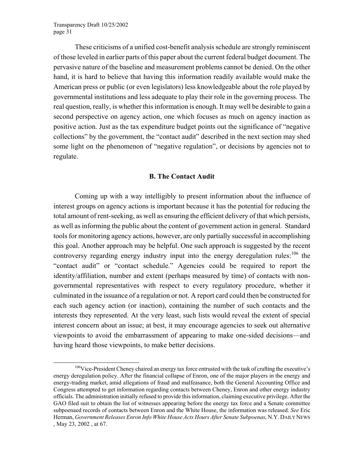These criticisms of a unified cost-benefit analysis schedule are strongly reminiscent of those leveled in earlier parts of this paper about the current federal budget document. The pervasive nature of the baseline and measurement problems cannot be denied. On the other hand, it is hard to believe that having this information readily available would make the American press or public (or even legislators) less knowledgeable about the role played by governmental institutions and less adequate to play their role in the governing process. The real question, really, is whether this information is enough. It may well be desirable to gain a second perspective on agency action, one which focuses as much on agency inaction as positive action. Just as the tax expenditure budget points out the significance of "negative collections" by the government, the "contact audit" described in the next section may shed some light on the phenomenon of "negative regulation", or decisions by agencies not to regulate.

#### **B. The Contact Audit**

Coming up with a way intelligibly to present information about the influence of interest groups on agency actions is important because it has the potential for reducing the total amount of rent-seeking, as well as ensuring the efficient delivery of that which persists, as well as informing the public about the content of government action in general. Standard tools for monitoring agency actions, however, are only partially successful in accomplishing this goal. Another approach may be helpful. One such approach is suggested by the recent controversy regarding energy industry input into the energy deregulation rules:  $106$  the "contact audit" or "contact schedule." Agencies could be required to report the identity/affiliation, number and extent (perhaps measured by time) of contacts with nongovernmental representatives with respect to every regulatory procedure, whether it culminated in the issuance of a regulation or not. A report card could then be constructed for each such agency action (or inaction), containing the number of such contacts and the interests they represented. At the very least, such lists would reveal the extent of special interest concern about an issue; at best, it may encourage agencies to seek out alternative viewpoints to avoid the embarrassment of appearing to make one-sided decisions—and having heard those viewpoints, to make better decisions.

<span id="page-32-0"></span><sup>&</sup>lt;sup>106</sup>Vice-President Cheney chaired an energy tax force entrusted with the task of crafting the executive's energy deregulation policy. After the financial collapse of Enron, one of the major players in the energy and energy-trading market, amid allegations of fraud and malfeasance, both the General Accounting Office and Congress attempted to get information regarding contacts between Cheney, Enron and other energy industry officials. The administration initially refused to provide this information, claiming executive privilege. After the GAO filed suit to obtain the list of witnesses appearing before the energy tax force and a Senate committee subpoenaed records of contacts between Enron and the White House, the information was released. *See* Eric Herman, *Government Releases Enron Info White House Acts Hours After Senate Subpoenas*, N.Y. DAILY NEWS , May 23, 2002 , at 67.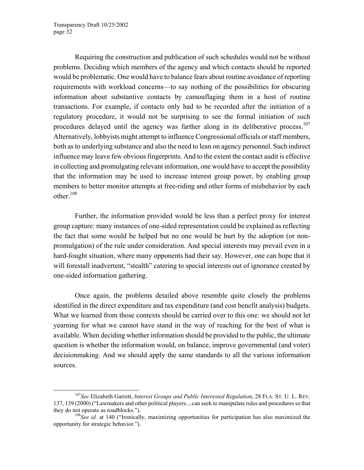Requiring the construction and publication of such schedules would not be without problems. Deciding which members of the agency and which contacts should be reported would be problematic. One would have to balance fears about routine avoidance of reporting requirements with workload concerns—to say nothing of the possibilities for obscuring information about substantive contacts by camouflaging them in a host of routine transactions. For example, if contacts only had to be recorded after the initiation of a regulatory procedure, it would not be surprising to see the formal initiation of such procedures delayed until the agency was farther along in its deliberative process.<sup>10[7](#page-33-0)</sup> Alternatively, lobbyists might attempt to influence Congressional officials or staff members, both as to underlying substance and also the need to lean on agency personnel. Such indirect influence may leave few obvious fingerprints. And to the extent the contact audit is effective in collecting and promulgating relevant information, one would have to accept the possibility that the information may be used to increase interest group power, by enabling group members to better monitor attempts at free-riding and other forms of misbehavior by each other $108$  $108$ 

Further, the information provided would be less than a perfect proxy for interest group capture: many instances of one-sided representation could be explained as reflecting the fact that some would be helped but no one would be hurt by the adoption (or nonpromulgation) of the rule under consideration. And special interests may prevail even in a hard-fought situation, where many opponents had their say. However, one can hope that it will forestall inadvertent, "stealth" catering to special interests out of ignorance created by one-sided information gathering.

Once again, the problems detailed above resemble quite closely the problems identified in the direct expenditure and tax expenditure (and cost benefit analysis) budgets. What we learned from those contexts should be carried over to this one: we should not let yearning for what we cannot have stand in the way of reaching for the best of what is available. When deciding whether information should be provided to the public, the ultimate question is whether the information would, on balance, improve governmental (and voter) decisionmaking. And we should apply the same standards to all the various information sources.

<span id="page-33-0"></span> <sup>107</sup>*See* Elizabeth Garrett, *Interest Groups and Public Interested Regulation*, 28 FLA. ST. U. L. REV. 137, 139 (2000) ("Lawmakers and other political players....can seek to manipulate rules and procedures so that they do not operate as roadblocks."). 108*See id.* at 140 ("Ironically, maximizing opportunities for participation has also maximized the

<span id="page-33-1"></span>opportunity for strategic behavior.").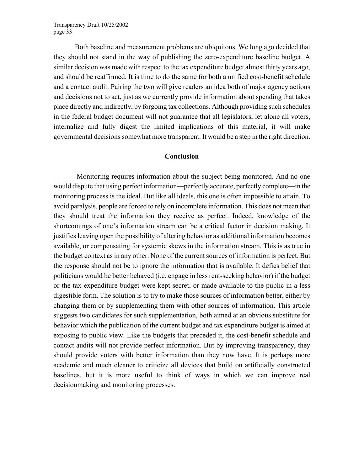Both baseline and measurement problems are ubiquitous. We long ago decided that they should not stand in the way of publishing the zero-expenditure baseline budget. A similar decision was made with respect to the tax expenditure budget almost thirty years ago, and should be reaffirmed. It is time to do the same for both a unified cost-benefit schedule and a contact audit. Pairing the two will give readers an idea both of major agency actions and decisions not to act, just as we currently provide information about spending that takes place directly and indirectly, by forgoing tax collections. Although providing such schedules in the federal budget document will not guarantee that all legislators, let alone all voters, internalize and fully digest the limited implications of this material, it will make governmental decisions somewhat more transparent. It would be a step in the right direction.

#### **Conclusion**

 Monitoring requires information about the subject being monitored. And no one would dispute that using perfect information—perfectly accurate, perfectly complete—in the monitoring process is the ideal. But like all ideals, this one is often impossible to attain. To avoid paralysis, people are forced to rely on incomplete information. This does not mean that they should treat the information they receive as perfect. Indeed, knowledge of the shortcomings of one's information stream can be a critical factor in decision making. It justifies leaving open the possibility of altering behavior as additional information becomes available, or compensating for systemic skews in the information stream. This is as true in the budget context as in any other. None of the current sources of information is perfect. But the response should not be to ignore the information that is available. It defies belief that politicians would be better behaved (i.e. engage in less rent-seeking behavior) if the budget or the tax expenditure budget were kept secret, or made available to the public in a less digestible form. The solution is to try to make those sources of information better, either by changing them or by supplementing them with other sources of information. This article suggests two candidates for such supplementation, both aimed at an obvious substitute for behavior which the publication of the current budget and tax expenditure budget is aimed at exposing to public view. Like the budgets that preceded it, the cost-benefit schedule and contact audits will not provide perfect information. But by improving transparency, they should provide voters with better information than they now have. It is perhaps more academic and much cleaner to criticize all devices that build on artificially constructed baselines, but it is more useful to think of ways in which we can improve real decisionmaking and monitoring processes.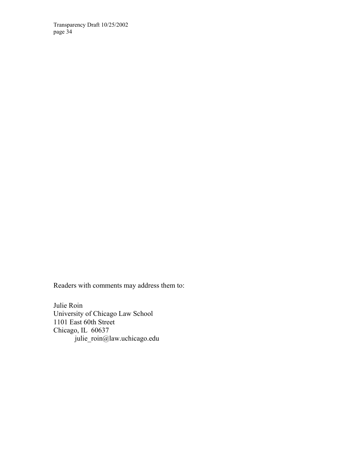Readers with comments may address them to:

Julie Roin University of Chicago Law School 1101 East 60th Street Chicago, IL 60637 julie\_roin@law.uchicago.edu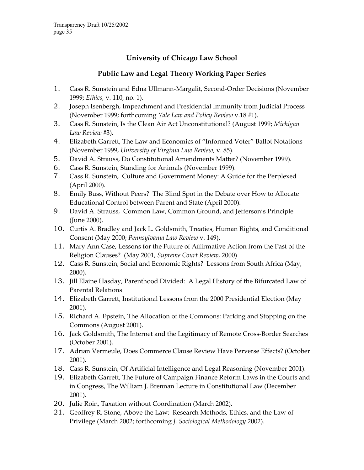# **University of Chicago Law School**

# **Public Law and Legal Theory Working Paper Series**

- 1. Cass R. Sunstein and Edna Ullmann-Margalit, Second-Order Decisions (November 1999; *Ethics,* v. 110, no. 1).
- 2. Joseph Isenbergh, Impeachment and Presidential Immunity from Judicial Process (November 1999; forthcoming *Yale Law and Policy Review* v.18 #1).
- 3. Cass R. Sunstein, Is the Clean Air Act Unconstitutional? (August 1999; *Michigan Law Review* #3).
- 4. Elizabeth Garrett, The Law and Economics of "Informed Voter" Ballot Notations (November 1999, *University of Virginia Law Review*, v. 85).
- 5. David A. Strauss, Do Constitutional Amendments Matter? (November 1999).
- 6. Cass R. Sunstein, Standing for Animals (November 1999).
- 7. Cass R. Sunstein, Culture and Government Money: A Guide for the Perplexed (April 2000).
- 8. Emily Buss, Without Peers? The Blind Spot in the Debate over How to Allocate Educational Control between Parent and State (April 2000).
- 9. David A. Strauss, Common Law, Common Ground, and Jefferson's Principle (June 2000).
- 10. Curtis A. Bradley and Jack L. Goldsmith, Treaties, Human Rights, and Conditional Consent (May 2000; *Pennsylvania Law Review* v. 149).
- 11. Mary Ann Case, Lessons for the Future of Affirmative Action from the Past of the Religion Clauses? (May 2001, *Supreme Court Review*, 2000)
- 12. Cass R. Sunstein, Social and Economic Rights? Lessons from South Africa (May, 2000).
- 13. Jill Elaine Hasday, Parenthood Divided: A Legal History of the Bifurcated Law of Parental Relations
- 14. Elizabeth Garrett, Institutional Lessons from the 2000 Presidential Election (May 2001).
- 15. Richard A. Epstein, The Allocation of the Commons: Parking and Stopping on the Commons (August 2001).
- 16. Jack Goldsmith, The Internet and the Legitimacy of Remote Cross-Border Searches (October 2001).
- 17. Adrian Vermeule, Does Commerce Clause Review Have Perverse Effects? (October 2001).
- 18. Cass R. Sunstein, Of Artificial Intelligence and Legal Reasoning (November 2001).
- 19. Elizabeth Garrett, The Future of Campaign Finance Reform Laws in the Courts and in Congress, The William J. Brennan Lecture in Constitutional Law (December 2001).
- 20. Julie Roin, Taxation without Coordination (March 2002).
- 21. Geoffrey R. Stone, Above the Law: Research Methods, Ethics, and the Law of Privilege (March 2002; forthcoming *J. Sociological Methodology* 2002).